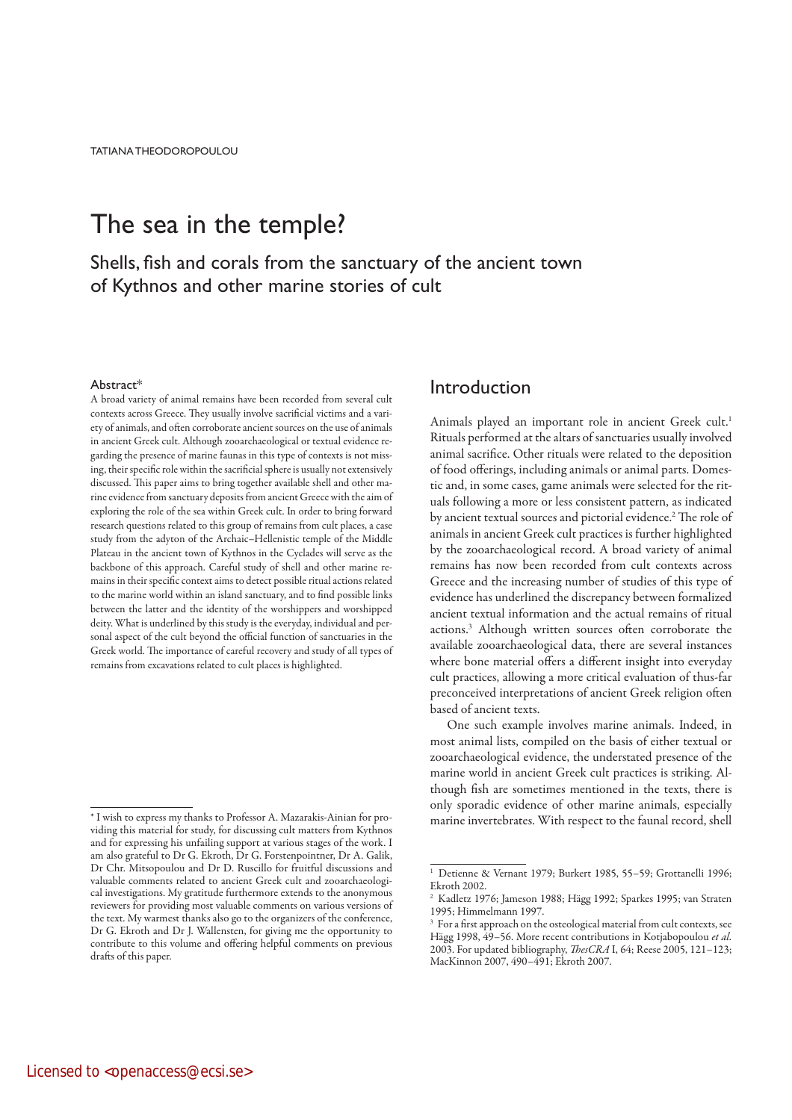# The sea in the temple?

Shells, fish and corals from the sanctuary of the ancient town of Kythnos and other marine stories of cult

### Abstract\*

A broad variety of animal remains have been recorded from several cult contexts across Greece. They usually involve sacrificial victims and a variety of animals, and often corroborate ancient sources on the use of animals in ancient Greek cult. Although zooarchaeological or textual evidence regarding the presence of marine faunas in this type of contexts is not missing, their specific role within the sacrificial sphere is usually not extensively discussed. This paper aims to bring together available shell and other marine evidence from sanctuary deposits from ancient Greece with the aim of exploring the role of the sea within Greek cult. In order to bring forward research questions related to this group of remains from cult places, a case study from the adyton of the Archaic–Hellenistic temple of the Middle Plateau in the ancient town of Kythnos in the Cyclades will serve as the backbone of this approach. Careful study of shell and other marine remains in their specific context aims to detect possible ritual actions related to the marine world within an island sanctuary, and to find possible links between the latter and the identity of the worshippers and worshipped deity. What is underlined by this study is the everyday, individual and personal aspect of the cult beyond the official function of sanctuaries in the Greek world. The importance of careful recovery and study of all types of remains from excavations related to cult places is highlighted.

### Introduction

Animals played an important role in ancient Greek cult.<sup>1</sup> Rituals performed at the altars of sanctuaries usually involved animal sacrifice. Other rituals were related to the deposition of food offerings, including animals or animal parts. Domestic and, in some cases, game animals were selected for the rituals following a more or less consistent pattern, as indicated by ancient textual sources and pictorial evidence.<sup>2</sup> The role of animals in ancient Greek cult practices is further highlighted by the zooarchaeological record. A broad variety of animal remains has now been recorded from cult contexts across Greece and the increasing number of studies of this type of evidence has underlined the discrepancy between formalized ancient textual information and the actual remains of ritual actions.3 Although written sources often corroborate the available zooarchaeological data, there are several instances where bone material offers a different insight into everyday cult practices, allowing a more critical evaluation of thus-far preconceived interpretations of ancient Greek religion often based of ancient texts.

One such example involves marine animals. Indeed, in most animal lists, compiled on the basis of either textual or zooarchaeological evidence, the understated presence of the marine world in ancient Greek cult practices is striking. Although fish are sometimes mentioned in the texts, there is only sporadic evidence of other marine animals, especially marine invertebrates. With respect to the faunal record, shell

<sup>\*</sup> I wish to express my thanks to Professor A. Mazarakis-Ainian for providing this material for study, for discussing cult matters from Kythnos and for expressing his unfailing support at various stages of the work. I am also grateful to Dr G. Ekroth, Dr G. Forstenpointner, Dr A. Galik, Dr Chr. Mitsopoulou and Dr D. Ruscillo for fruitful discussions and valuable comments related to ancient Greek cult and zooarchaeological investigations. My gratitude furthermore extends to the anonymous reviewers for providing most valuable comments on various versions of the text. My warmest thanks also go to the organizers of the conference, Dr G. Ekroth and Dr J. Wallensten, for giving me the opportunity to contribute to this volume and offering helpful comments on previous drafts of this paper.

<sup>&</sup>lt;sup>1</sup> Detienne & Vernant 1979; Burkert 1985, 55-59; Grottanelli 1996; Ekroth 2002.

<sup>2</sup> Kadletz 1976; Jameson 1988; Hägg 1992; Sparkes 1995; van Straten 1995; Himmelmann 1997.

<sup>&</sup>lt;sup>3</sup> For a first approach on the osteological material from cult contexts, see Hägg 1998, 49–56. More recent contributions in Kotjabopoulou et al. 2003. For updated bibliography, *ThesCRA* I, 64; Reese 2005, 121-123; MacKinnon 2007, 490–491; Ekroth 2007.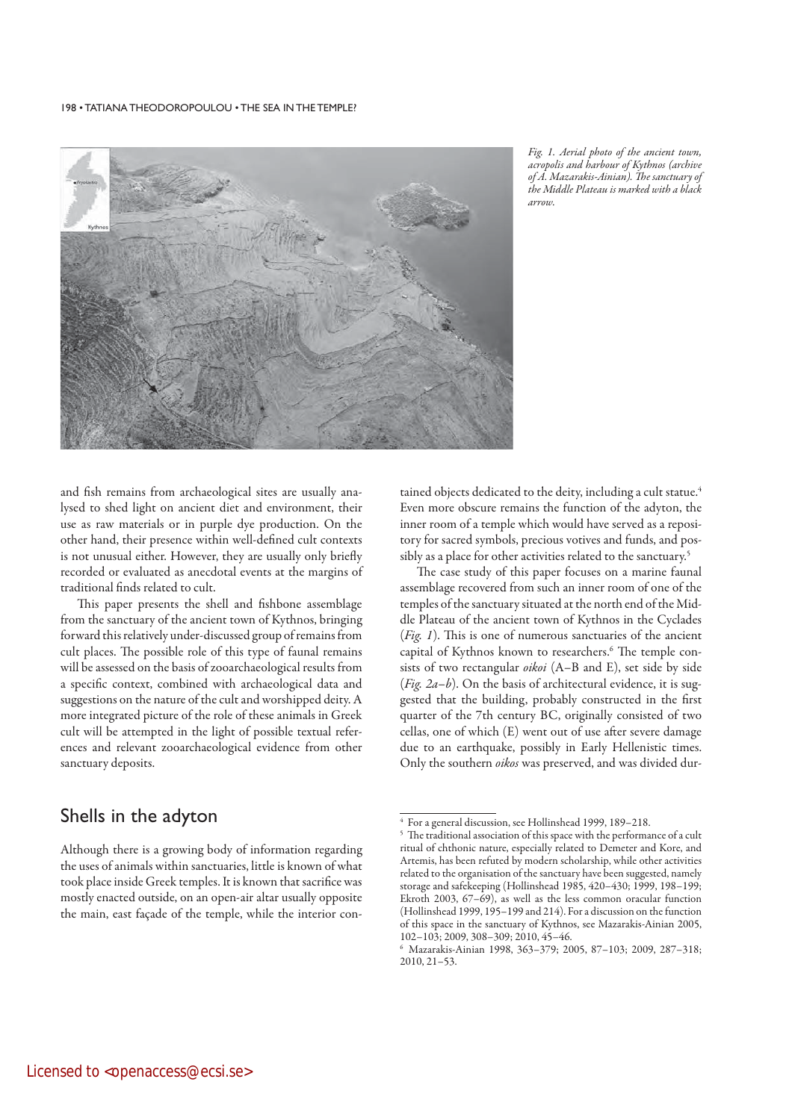

Fig. 1. Aerial photo of the ancient town, acropolis and harbour of Kythnos (archive of A. Mazarakis-Ainian). The sanctuary of the Middle Plateau is marked with a black arrow.

and fish remains from archaeological sites are usually analysed to shed light on ancient diet and environment, their use as raw materials or in purple dye production. On the other hand, their presence within well-defined cult contexts is not unusual either. However, they are usually only briefly recorded or evaluated as anecdotal events at the margins of traditional finds related to cult.

This paper presents the shell and fishbone assemblage from the sanctuary of the ancient town of Kythnos, bringing forward this relatively under-discussed group of remains from cult places. The possible role of this type of faunal remains will be assessed on the basis of zooarchaeological results from a specific context, combined with archaeological data and suggestions on the nature of the cult and worshipped deity. A more integrated picture of the role of these animals in Greek cult will be attempted in the light of possible textual references and relevant zooarchaeological evidence from other sanctuary deposits.

# Shells in the adyton

Although there is a growing body of information regarding the uses of animals within sanctuaries, little is known of what took place inside Greek temples. It is known that sacrifice was mostly enacted outside, on an open-air altar usually opposite the main, east façade of the temple, while the interior con-

tained objects dedicated to the deity, including a cult statue.<sup>4</sup> Even more obscure remains the function of the adyton, the inner room of a temple which would have served as a repository for sacred symbols, precious votives and funds, and possibly as a place for other activities related to the sanctuary.<sup>5</sup>

The case study of this paper focuses on a marine faunal assemblage recovered from such an inner room of one of the temples of the sanctuary situated at the north end of the Middle Plateau of the ancient town of Kythnos in the Cyclades (Fig. 1). This is one of numerous sanctuaries of the ancient capital of Kythnos known to researchers.<sup>6</sup> The temple consists of two rectangular oikoi (A–B and E), set side by side (Fig.  $2a-b$ ). On the basis of architectural evidence, it is suggested that the building, probably constructed in the first quarter of the 7th century BC, originally consisted of two cellas, one of which (E) went out of use after severe damage due to an earthquake, possibly in Early Hellenistic times. Only the southern oikos was preserved, and was divided dur-

<sup>4</sup> For a general discussion, see Hollinshead 1999, 189–218.

<sup>&</sup>lt;sup>5</sup> The traditional association of this space with the performance of a cult ritual of chthonic nature, especially related to Demeter and Kore, and Artemis, has been refuted by modern scholarship, while other activities related to the organisation of the sanctuary have been suggested, namely storage and safekeeping (Hollinshead 1985, 420–430; 1999, 198–199; Ekroth 2003, 67–69), as well as the less common oracular function (Hollinshead 1999, 195–199 and 214). For a discussion on the function of this space in the sanctuary of Kythnos, see Mazarakis-Ainian 2005, 102–103; 2009, 308–309; 2010, 45–46.

<sup>6</sup> Mazarakis-Ainian 1998, 363–379; 2005, 87–103; 2009, 287–318; 2010, 21–53.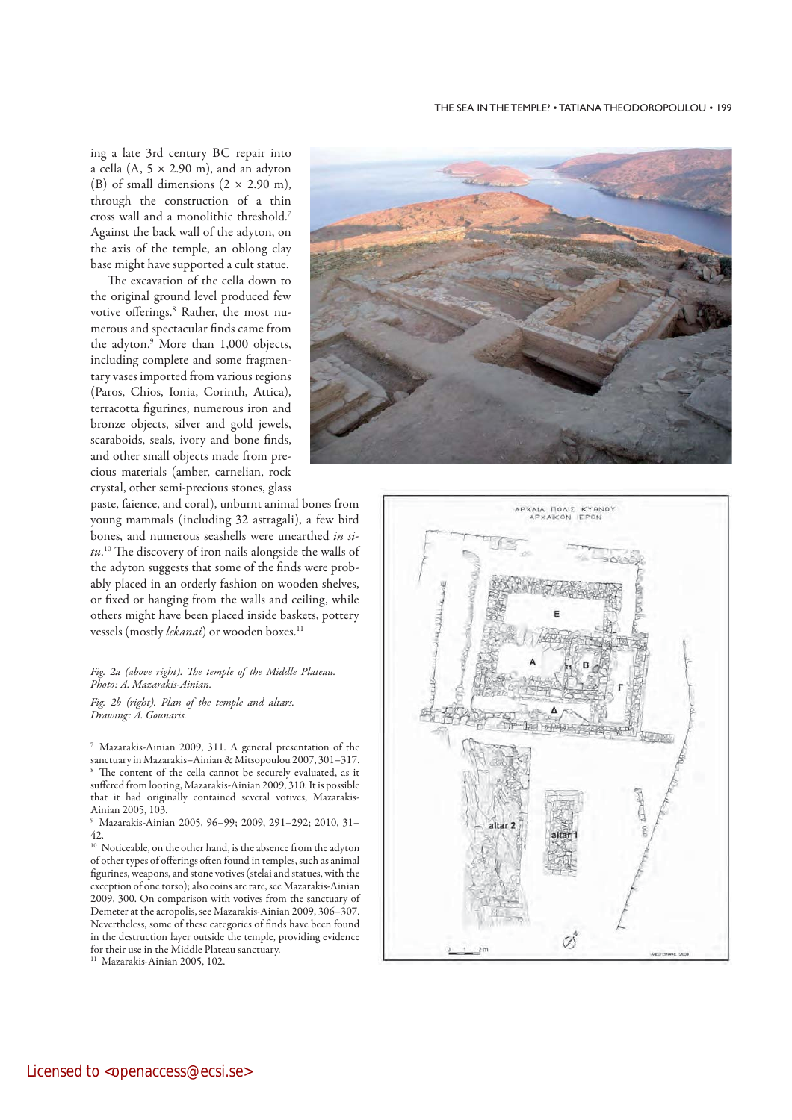### THE SEA IN THE TEMPLE? • TATIANA THEODOROPOULOU • 199

ing a late 3rd century BC repair into a cella (A,  $5 \times 2.90$  m), and an adyton (B) of small dimensions  $(2 \times 2.90 \text{ m})$ , through the construction of a thin cross wall and a monolithic threshold.7 Against the back wall of the adyton, on the axis of the temple, an oblong clay base might have supported a cult statue.

The excavation of the cella down to the original ground level produced few votive offerings.8 Rather, the most numerous and spectacular finds came from the adyton.9 More than 1,000 objects, including complete and some fragmentary vases imported from various regions (Paros, Chios, Ionia, Corinth, Attica), terracotta figurines, numerous iron and bronze objects, silver and gold jewels, scaraboids, seals, ivory and bone finds, and other small objects made from precious materials (amber, carnelian, rock crystal, other semi-precious stones, glass



paste, faience, and coral), unburnt animal bones from young mammals (including 32 astragali), a few bird bones, and numerous seashells were unearthed in si $tu$ .<sup>10</sup> The discovery of iron nails alongside the walls of the adyton suggests that some of the finds were probably placed in an orderly fashion on wooden shelves, or fixed or hanging from the walls and ceiling, while others might have been placed inside baskets, pottery vessels (mostly lekanai) or wooden boxes.<sup>11</sup>

### Fig. 2a (above right). The temple of the Middle Plateau. Photo: A. Mazarakis-Ainian.

Fig. 2b (right). Plan of the temple and altars. Drawing: A. Gounaris.



<sup>7</sup> Mazarakis-Ainian 2009, 311. A general presentation of the sanctuary in Mazarakis–Ainian & Mitsopoulou 2007, 301–317. <sup>8</sup> The content of the cella cannot be securely evaluated, as it suffered from looting, Mazarakis-Ainian 2009, 310. It is possible that it had originally contained several votives, Mazarakis-Ainian 2005, 103.

<sup>9</sup> Mazarakis-Ainian 2005, 96–99; 2009, 291–292; 2010, 31– 42.

<sup>10</sup> Noticeable, on the other hand, is the absence from the adyton of other types of offerings often found in temples, such as animal figurines, weapons, and stone votives (stelai and statues, with the exception of one torso); also coins are rare, see Mazarakis-Ainian 2009, 300. On comparison with votives from the sanctuary of Demeter at the acropolis, see Mazarakis-Ainian 2009, 306–307. Nevertheless, some of these categories of finds have been found in the destruction layer outside the temple, providing evidence for their use in the Middle Plateau sanctuary.

<sup>&</sup>lt;sup>11</sup> Mazarakis-Ainian 2005, 102.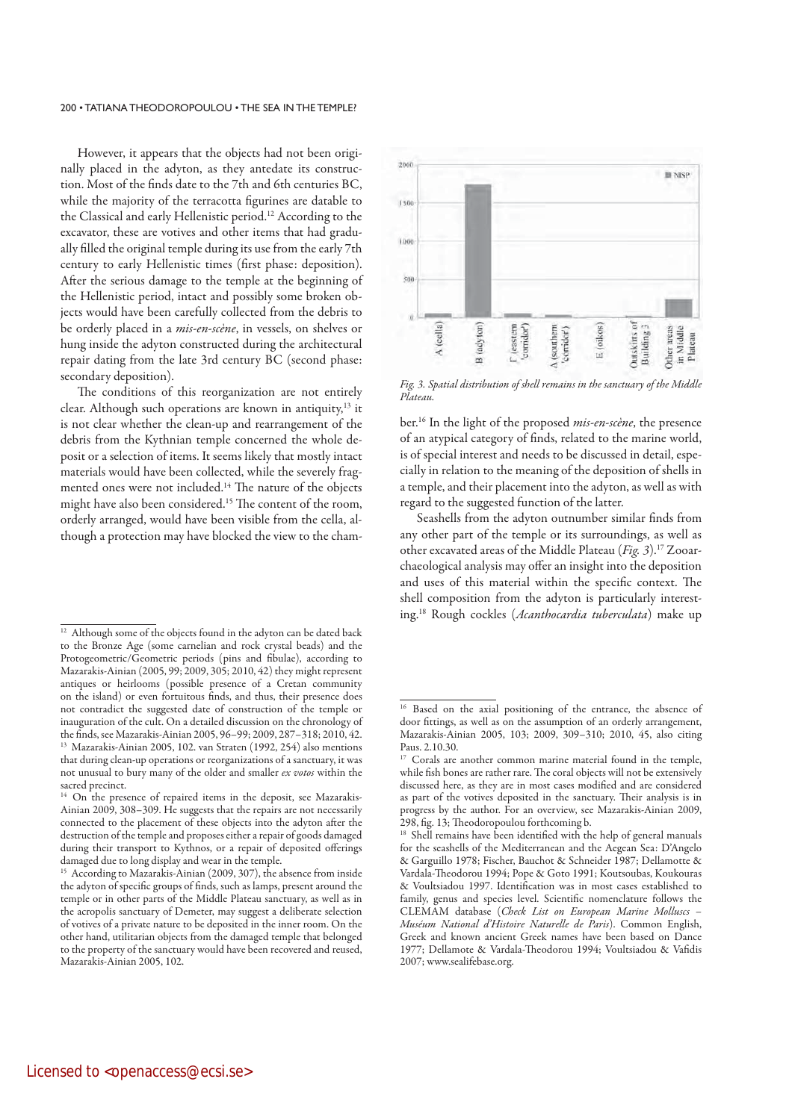However, it appears that the objects had not been originally placed in the adyton, as they antedate its construction. Most of the finds date to the 7th and 6th centuries BC, while the majority of the terracotta figurines are datable to the Classical and early Hellenistic period.12 According to the excavator, these are votives and other items that had gradually filled the original temple during its use from the early 7th century to early Hellenistic times (first phase: deposition). After the serious damage to the temple at the beginning of the Hellenistic period, intact and possibly some broken objects would have been carefully collected from the debris to be orderly placed in a *mis-en-scène*, in vessels, on shelves or hung inside the adyton constructed during the architectural repair dating from the late 3rd century BC (second phase: secondary deposition).

The conditions of this reorganization are not entirely clear. Although such operations are known in antiquity,<sup>13</sup> it is not clear whether the clean-up and rearrangement of the debris from the Kythnian temple concerned the whole deposit or a selection of items. It seems likely that mostly intact materials would have been collected, while the severely fragmented ones were not included.<sup>14</sup> The nature of the objects might have also been considered.15 The content of the room, orderly arranged, would have been visible from the cella, although a protection may have blocked the view to the cham-



Fig. 3. Spatial distribution of shell remains in the sanctuary of the Middle Plateau.

ber.<sup>16</sup> In the light of the proposed *mis-en-scène*, the presence of an atypical category of finds, related to the marine world, is of special interest and needs to be discussed in detail, especially in relation to the meaning of the deposition of shells in a temple, and their placement into the adyton, as well as with regard to the suggested function of the latter.

Seashells from the adyton outnumber similar finds from any other part of the temple or its surroundings, as well as other excavated areas of the Middle Plateau ( $Fig. 3$ ).<sup>17</sup> Zooarchaeological analysis may offer an insight into the deposition and uses of this material within the specific context. The shell composition from the adyton is particularly interesting.<sup>18</sup> Rough cockles (Acanthocardia tuberculata) make up

<sup>&</sup>lt;sup>12</sup> Although some of the objects found in the adyton can be dated back to the Bronze Age (some carnelian and rock crystal beads) and the Protogeometric/Geometric periods (pins and fibulae), according to Mazarakis-Ainian (2005, 99; 2009, 305; 2010, 42) they might represent antiques or heirlooms (possible presence of a Cretan community on the island) or even fortuitous finds, and thus, their presence does not contradict the suggested date of construction of the temple or inauguration of the cult. On a detailed discussion on the chronology of the finds, see Mazarakis-Ainian 2005, 96–99; 2009, 287–318; 2010, 42. 13 Mazarakis-Ainian 2005, 102. van Straten (1992, 254) also mentions that during clean-up operations or reorganizations of a sanctuary, it was not unusual to bury many of the older and smaller ex votos within the sacred precinct.

<sup>&</sup>lt;sup>14</sup> On the presence of repaired items in the deposit, see Mazarakis-Ainian 2009, 308–309. He suggests that the repairs are not necessarily connected to the placement of these objects into the adyton after the destruction of the temple and proposes either a repair of goods damaged during their transport to Kythnos, or a repair of deposited offerings damaged due to long display and wear in the temple.

<sup>15</sup> According to Mazarakis-Ainian (2009, 307), the absence from inside the adyton of specific groups of finds, such as lamps, present around the temple or in other parts of the Middle Plateau sanctuary, as well as in the acropolis sanctuary of Demeter, may suggest a deliberate selection of votives of a private nature to be deposited in the inner room. On the other hand, utilitarian objects from the damaged temple that belonged to the property of the sanctuary would have been recovered and reused, Mazarakis-Ainian 2005, 102.

Based on the axial positioning of the entrance, the absence of door fittings, as well as on the assumption of an orderly arrangement, Mazarakis-Ainian 2005, 103; 2009, 309–310; 2010, 45, also citing Paus. 2.10.30.

<sup>&</sup>lt;sup>17</sup> Corals are another common marine material found in the temple, while fish bones are rather rare. The coral objects will not be extensively discussed here, as they are in most cases modified and are considered as part of the votives deposited in the sanctuary. Their analysis is in progress by the author. For an overview, see Mazarakis-Ainian 2009, 298, fig. 13; Theodoropoulou forthcoming b.

<sup>&</sup>lt;sup>18</sup> Shell remains have been identified with the help of general manuals for the seashells of the Mediterranean and the Aegean Sea: D'Angelo & Garguillo 1978; Fischer, Bauchot & Schneider 1987; Dellamotte & Vardala-Theodorou 1994; Pope & Goto 1991; Koutsoubas, Koukouras & Voultsiadou 1997. Identification was in most cases established to family, genus and species level. Scientific nomenclature follows the CLEMAM database (Check List on European Marine Molluscs – Muséum National d'Histoire Naturelle de Paris). Common English, Greek and known ancient Greek names have been based on Dance 1977; Dellamote & Vardala-Theodorou 1994; Voultsiadou & Vafidis 2007; www.sealifebase.org.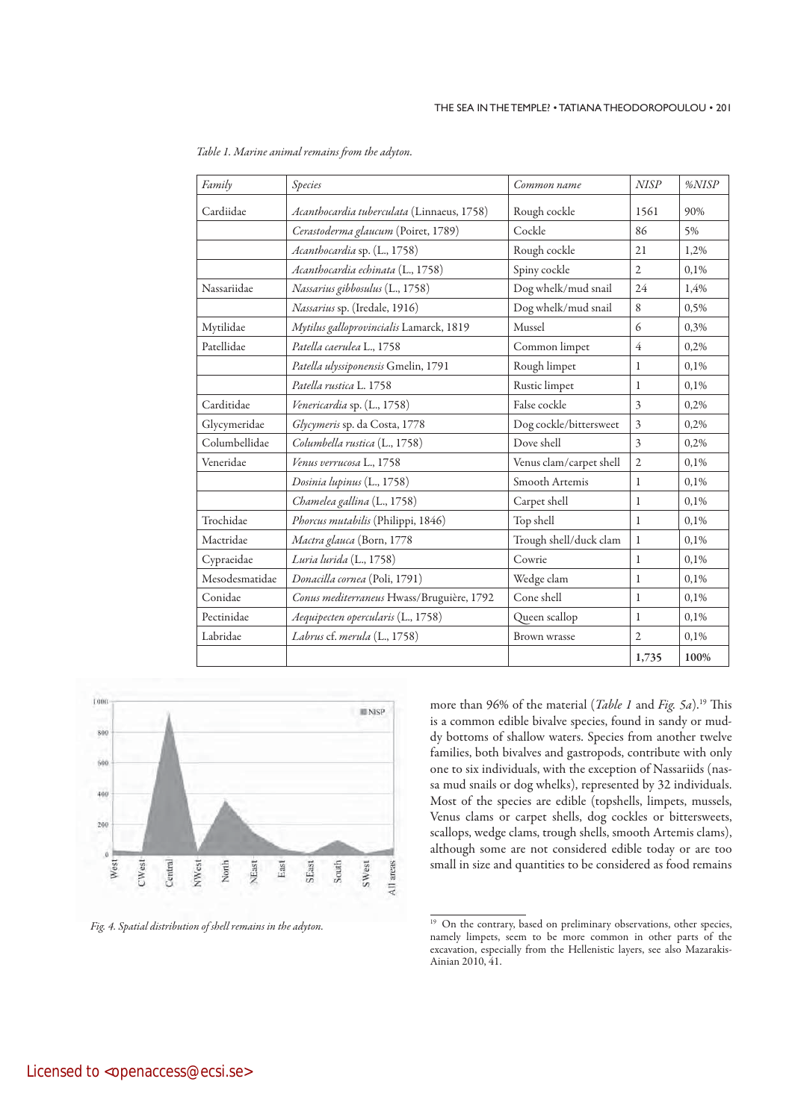| Family         | Species                                    | Common name             | <b>NISP</b>             | %NISP |  |
|----------------|--------------------------------------------|-------------------------|-------------------------|-------|--|
| Cardiidae      | Acanthocardia tuberculata (Linnaeus, 1758) | Rough cockle            | 1561                    | 90%   |  |
|                | Cerastoderma glaucum (Poiret, 1789)        | Cockle                  | 86                      | 5%    |  |
|                | Acanthocardia sp. (L., 1758)               | Rough cockle            | 21                      | 1,2%  |  |
|                | Acanthocardia echinata (L., 1758)          | Spiny cockle            | $\mathfrak{2}$<br>0,1%  |       |  |
| Nassariidae    | Nassarius gibbosulus (L., 1758)            | Dog whelk/mud snail     | 24                      | 1,4%  |  |
|                | Nassarius sp. (Iredale, 1916)              | Dog whelk/mud snail     | 8                       | 0,5%  |  |
| Mytilidae      | Mytilus galloprovincialis Lamarck, 1819    | Mussel                  | 6                       | 0,3%  |  |
| Patellidae     | Patella caerulea L., 1758                  | Common limpet           | $\overline{4}$          | 0,2%  |  |
|                | Patella ulyssiponensis Gmelin, 1791        | Rough limpet            | 1                       | 0.1%  |  |
|                | Patella rustica L. 1758                    | Rustic limpet           | 1                       | 0,1%  |  |
| Carditidae     | Venericardia sp. (L., 1758)                | False cockle            | $\overline{\mathbf{3}}$ | 0,2%  |  |
| Glycymeridae   | Glycymeris sp. da Costa, 1778              | Dog cockle/bittersweet  | $\overline{\mathbf{3}}$ | 0,2%  |  |
| Columbellidae  | Columbella rustica (L., 1758)              | Dove shell              | $\overline{\mathbf{3}}$ | 0.2%  |  |
| Veneridae      | Venus verrucosa L., 1758                   | Venus clam/carpet shell | $\overline{2}$          | 0,1%  |  |
|                | Dosinia lupinus (L., 1758)                 | Smooth Artemis          | $\mathbf{1}$            | 0,1%  |  |
|                | Chamelea gallina (L., 1758)                | Carpet shell            | 1                       | 0,1%  |  |
| Trochidae      | Phorcus mutabilis (Philippi, 1846)         | Top shell               | $\mathbf{1}$            | 0.1%  |  |
| Mactridae      | Mactra glauca (Born, 1778                  | Trough shell/duck clam  | $\mathbf{1}$            | 0,1%  |  |
| Cypraeidae     | Luria lurida (L., 1758)                    | Cowrie                  | $\mathbf{1}$            | 0,1%  |  |
| Mesodesmatidae | Donacilla cornea (Poli, 1791)              | Wedge clam              | $\mathbf{1}$            | 0,1%  |  |
| Conidae        | Conus mediterraneus Hwass/Bruguière, 1792  | Cone shell              | $\mathbf{1}$            | 0,1%  |  |
| Pectinidae     | Aequipecten opercularis (L., 1758)         | Queen scallop           | 1                       | 0,1%  |  |
| Labridae       | Labrus cf. merula (L., 1758)               | Brown wrasse            | $\overline{2}$          | 0,1%  |  |
|                |                                            |                         | 1,735                   | 100%  |  |

Table 1. Marine animal remains from the adyton.



Fig. 4. Spatial distribution of shell remains in the adyton.

more than 96% of the material (*Table 1* and *Fig. 5a*).<sup>19</sup> This is a common edible bivalve species, found in sandy or muddy bottoms of shallow waters. Species from another twelve families, both bivalves and gastropods, contribute with only one to six individuals, with the exception of Nassariids (nassa mud snails or dog whelks), represented by 32 individuals. Most of the species are edible (topshells, limpets, mussels, Venus clams or carpet shells, dog cockles or bittersweets, scallops, wedge clams, trough shells, smooth Artemis clams), although some are not considered edible today or are too small in size and quantities to be considered as food remains

<sup>&</sup>lt;sup>19</sup> On the contrary, based on preliminary observations, other species, namely limpets, seem to be more common in other parts of the excavation, especially from the Hellenistic layers, see also Mazarakis-Ainian 2010, 41.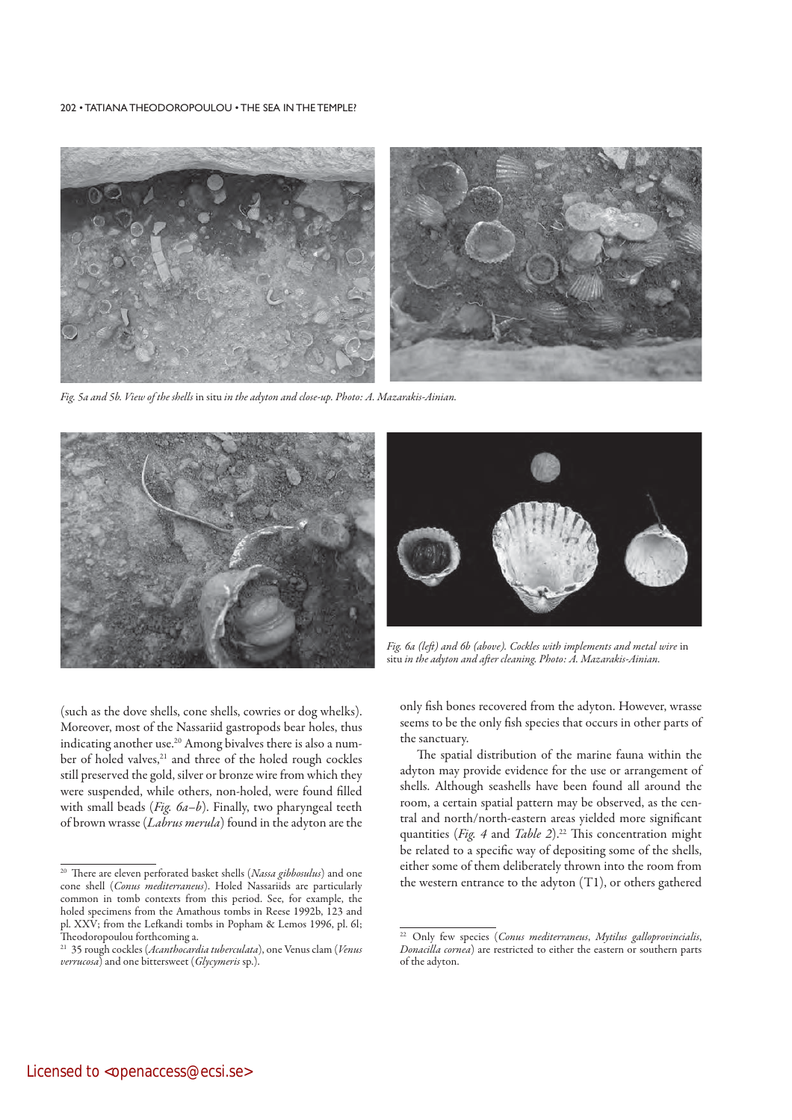

Fig. 5a and 5b. View of the shells in situ in the adyton and close-up. Photo: A. Mazarakis-Ainian.





Fig. 6a (left) and 6b (above). Cockles with implements and metal wire in situ in the adyton and after cleaning. Photo: A. Mazarakis-Ainian.

(such as the dove shells, cone shells, cowries or dog whelks). Moreover, most of the Nassariid gastropods bear holes, thus indicating another use.<sup>20</sup> Among bivalves there is also a number of holed valves,<sup>21</sup> and three of the holed rough cockles still preserved the gold, silver or bronze wire from which they were suspended, while others, non-holed, were found filled with small beads ( $Fig. 6a-b$ ). Finally, two pharyngeal teeth of brown wrasse (Labrus merula) found in the adyton are the

only fish bones recovered from the adyton. However, wrasse seems to be the only fish species that occurs in other parts of the sanctuary.

The spatial distribution of the marine fauna within the adyton may provide evidence for the use or arrangement of shells. Although seashells have been found all around the room, a certain spatial pattern may be observed, as the central and north/north-eastern areas yielded more significant quantities (Fig. 4 and Table 2).<sup>22</sup> This concentration might be related to a specific way of depositing some of the shells, either some of them deliberately thrown into the room from the western entrance to the adyton (T1), or others gathered

<sup>&</sup>lt;sup>20</sup> There are eleven perforated basket shells (Nassa gibbosulus) and one cone shell (Conus mediterraneus). Holed Nassariids are particularly common in tomb contexts from this period. See, for example, the holed specimens from the Amathous tombs in Reese 1992b, 123 and pl. XXV; from the Lefkandi tombs in Popham & Lemos 1996, pl. 6l; Theodoropoulou forthcoming a.

<sup>&</sup>lt;sup>21</sup> 35 rough cockles (*Acanthocardia tuberculata*), one Venus clam (*Venus* verrucosa) and one bittersweet (Glycymeris sp.).

<sup>&</sup>lt;sup>22</sup> Only few species (Conus mediterraneus, Mytilus galloprovincialis, Donacilla cornea) are restricted to either the eastern or southern parts of the adyton.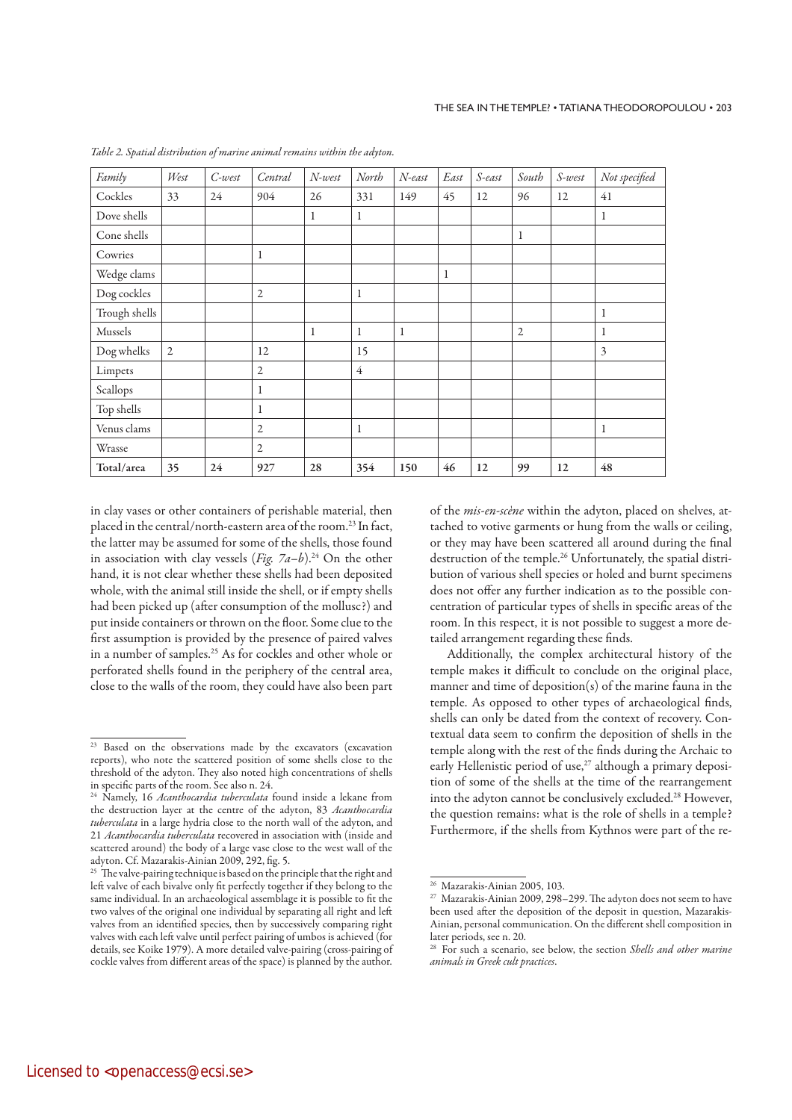| Family        | West           | $C$ -west | Central        | $N$ -west | North          | N-east | East        | S-east | South | S-west | Not specified |
|---------------|----------------|-----------|----------------|-----------|----------------|--------|-------------|--------|-------|--------|---------------|
| Cockles       | 33             | 24        | 904            | 26        | 331            | 149    | 45          | 12     | 96    | 12     | 41            |
| Dove shells   |                |           |                | 1         | 1              |        |             |        |       |        | 1             |
| Cone shells   |                |           |                |           |                |        |             |        | 1     |        |               |
| Cowries       |                |           | $\mathbf{1}$   |           |                |        |             |        |       |        |               |
| Wedge clams   |                |           |                |           |                |        | $\mathbf 1$ |        |       |        |               |
| Dog cockles   |                |           | 2              |           | 1              |        |             |        |       |        |               |
| Trough shells |                |           |                |           |                |        |             |        |       |        | 1             |
| Mussels       |                |           |                | 1         | 1              | 1      |             |        | 2     |        | 1             |
| Dog whelks    | $\overline{2}$ |           | 12             |           | 15             |        |             |        |       |        | 3             |
| Limpets       |                |           | 2              |           | $\overline{4}$ |        |             |        |       |        |               |
| Scallops      |                |           | 1              |           |                |        |             |        |       |        |               |
| Top shells    |                |           | $\mathbf{1}$   |           |                |        |             |        |       |        |               |
| Venus clams   |                |           | 2              |           | 1              |        |             |        |       |        | $\mathbf{1}$  |
| Wrasse        |                |           | $\overline{2}$ |           |                |        |             |        |       |        |               |
| Total/area    | 35             | 24        | 927            | 28        | 354            | 150    | 46          | 12     | 99    | 12     | 48            |

Table 2. Spatial distribution of marine animal remains within the adyton.

in clay vases or other containers of perishable material, then placed in the central/north-eastern area of the room.23 In fact, the latter may be assumed for some of the shells, those found in association with clay vessels (*Fig. 7a-b*).<sup>24</sup> On the other hand, it is not clear whether these shells had been deposited whole, with the animal still inside the shell, or if empty shells had been picked up (after consumption of the mollusc?) and put inside containers or thrown on the floor. Some clue to the first assumption is provided by the presence of paired valves in a number of samples.25 As for cockles and other whole or perforated shells found in the periphery of the central area, close to the walls of the room, they could have also been part of the mis-en-scène within the adyton, placed on shelves, attached to votive garments or hung from the walls or ceiling, or they may have been scattered all around during the final destruction of the temple.26 Unfortunately, the spatial distribution of various shell species or holed and burnt specimens does not offer any further indication as to the possible concentration of particular types of shells in specific areas of the room. In this respect, it is not possible to suggest a more detailed arrangement regarding these finds.

Additionally, the complex architectural history of the temple makes it difficult to conclude on the original place, manner and time of deposition(s) of the marine fauna in the temple. As opposed to other types of archaeological finds, shells can only be dated from the context of recovery. Contextual data seem to confirm the deposition of shells in the temple along with the rest of the finds during the Archaic to early Hellenistic period of use,<sup>27</sup> although a primary deposition of some of the shells at the time of the rearrangement into the adyton cannot be conclusively excluded.28 However, the question remains: what is the role of shells in a temple? Furthermore, if the shells from Kythnos were part of the re-

<sup>&</sup>lt;sup>23</sup> Based on the observations made by the excavators (excavation reports), who note the scattered position of some shells close to the threshold of the adyton. They also noted high concentrations of shells in specific parts of the room. See also n. 24.

<sup>&</sup>lt;sup>24</sup> Namely, 16 *Acanthocardia tuberculata* found inside a lekane from the destruction layer at the centre of the adyton, 83 Acanthocardia tuberculata in a large hydria close to the north wall of the adyton, and 21 Acanthocardia tuberculata recovered in association with (inside and scattered around) the body of a large vase close to the west wall of the adyton. Cf. Mazarakis-Ainian 2009, 292, fig. 5.

<sup>&</sup>lt;sup>25</sup> The valve-pairing technique is based on the principle that the right and left valve of each bivalve only fit perfectly together if they belong to the same individual. In an archaeological assemblage it is possible to fit the two valves of the original one individual by separating all right and left valves from an identified species, then by successively comparing right valves with each left valve until perfect pairing of umbos is achieved (for details, see Koike 1979). A more detailed valve-pairing (cross-pairing of cockle valves from different areas of the space) is planned by the author.

<sup>&</sup>lt;sup>26</sup> Mazarakis-Ainian 2005, 103.<br><sup>27</sup> Mazarakis-Ainian 2009, 298–299. The adyton does not seem to have been used after the deposition of the deposit in question, Mazarakis-Ainian, personal communication. On the different shell composition in later periods, see n. 20.

<sup>&</sup>lt;sup>28</sup> For such a scenario, see below, the section Shells and other marine animals in Greek cult practices.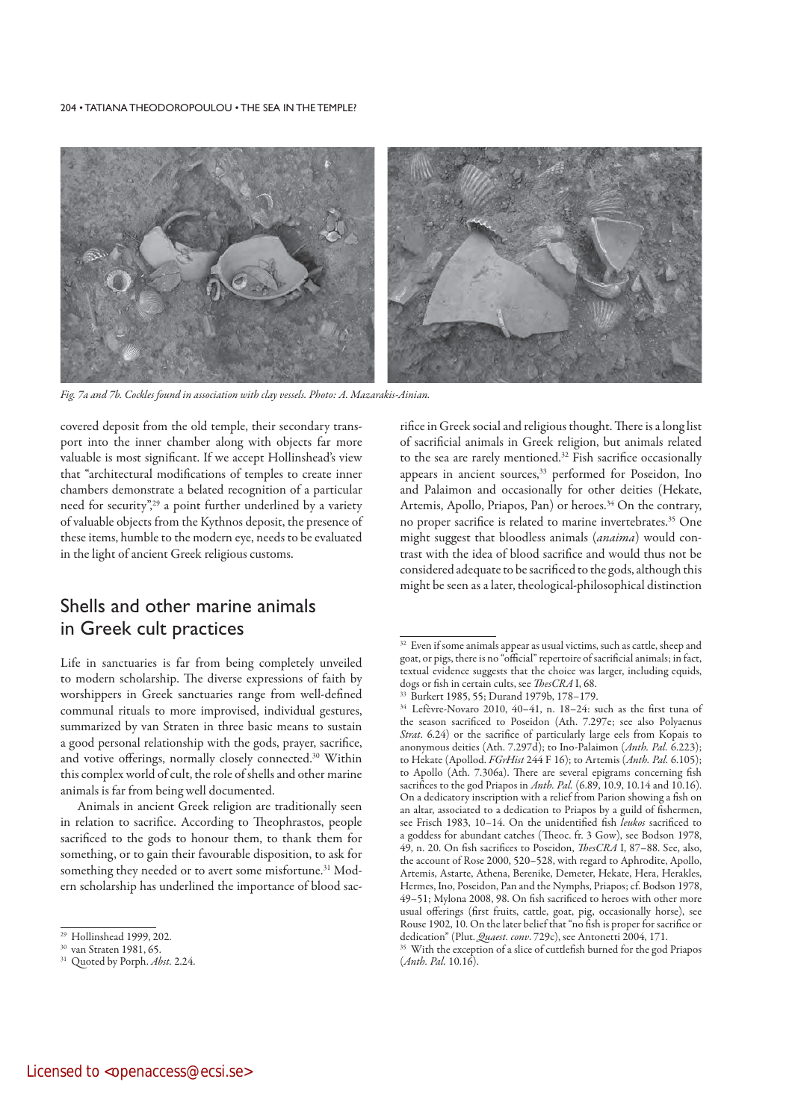

Fig. 7a and 7b. Cockles found in association with clay vessels. Photo: A. Mazarakis-Ainian.

covered deposit from the old temple, their secondary transport into the inner chamber along with objects far more valuable is most significant. If we accept Hollinshead's view that "architectural modifications of temples to create inner chambers demonstrate a belated recognition of a particular need for security",<sup>29</sup> a point further underlined by a variety of valuable objects from the Kythnos deposit, the presence of these items, humble to the modern eye, needs to be evaluated in the light of ancient Greek religious customs.

# Shells and other marine animals in Greek cult practices

Life in sanctuaries is far from being completely unveiled to modern scholarship. The diverse expressions of faith by worshippers in Greek sanctuaries range from well-defined communal rituals to more improvised, individual gestures, summarized by van Straten in three basic means to sustain a good personal relationship with the gods, prayer, sacrifice, and votive offerings, normally closely connected.<sup>30</sup> Within this complex world of cult, the role of shells and other marine animals is far from being well documented.

Animals in ancient Greek religion are traditionally seen in relation to sacrifice. According to Theophrastos, people sacrificed to the gods to honour them, to thank them for something, or to gain their favourable disposition, to ask for something they needed or to avert some misfortune.<sup>31</sup> Modern scholarship has underlined the importance of blood sacrifice in Greek social and religious thought. There is a long list of sacrificial animals in Greek religion, but animals related to the sea are rarely mentioned.<sup>32</sup> Fish sacrifice occasionally appears in ancient sources,<sup>33</sup> performed for Poseidon, Ino and Palaimon and occasionally for other deities (Hekate, Artemis, Apollo, Priapos, Pan) or heroes.<sup>34</sup> On the contrary, no proper sacrifice is related to marine invertebrates.<sup>35</sup> One might suggest that bloodless animals (anaima) would contrast with the idea of blood sacrifice and would thus not be considered adequate to be sacrificed to the gods, although this might be seen as a later, theological-philosophical distinction

<sup>&</sup>lt;sup>29</sup> Hollinshead 1999, 202.<br><sup>30</sup> van Straten 1981, 65.

<sup>&</sup>lt;sup>31</sup> Quoted by Porph. Abst. 2.24.

<sup>&</sup>lt;sup>32</sup> Even if some animals appear as usual victims, such as cattle, sheep and goat, or pigs, there is no "official" repertoire of sacrificial animals; in fact, textual evidence suggests that the choice was larger, including equids, dogs or fish in certain cults, see ThesCRA I, 68.

<sup>33</sup> Burkert 1985, 55; Durand 1979b, 178–179.

<sup>34</sup> Lefèvre-Novaro 2010, 40–41, n. 18–24: such as the first tuna of the season sacrificed to Poseidon (Ath. 7.297e; see also Polyaenus Strat. 6.24) or the sacrifice of particularly large eels from Kopais to anonymous deities (Ath. 7.297d); to Ino-Palaimon (Anth. Pal. 6.223); to Hekate (Apollod. FGrHist 244 F 16); to Artemis (Anth. Pal. 6.105); to Apollo (Ath. 7.306a). There are several epigrams concerning fish sacrifices to the god Priapos in Anth. Pal. (6.89, 10.9, 10.14 and 10.16). On a dedicatory inscription with a relief from Parion showing a fish on an altar, associated to a dedication to Priapos by a guild of fishermen, see Frisch 1983, 10-14. On the unidentified fish leukos sacrificed to a goddess for abundant catches (Theoc. fr. 3 Gow), see Bodson 1978, 49, n. 20. On fish sacrifices to Poseidon, ThesCRA I, 87–88. See, also, the account of Rose 2000, 520–528, with regard to Aphrodite, Apollo, Artemis, Astarte, Athena, Berenike, Demeter, Hekate, Hera, Herakles, Hermes, Ino, Poseidon, Pan and the Nymphs, Priapos; cf. Bodson 1978, 49–51; Mylona 2008, 98. On fish sacrificed to heroes with other more usual offerings (first fruits, cattle, goat, pig, occasionally horse), see Rouse 1902, 10. On the later belief that "no fish is proper for sacrifice or dedication" (Plut. *Quaest. conv.* 729c), see Antonetti 2004, 171.

<sup>&</sup>lt;sup>35</sup> With the exception of a slice of cuttlefish burned for the god Priapos (Anth. Pal. 10.16).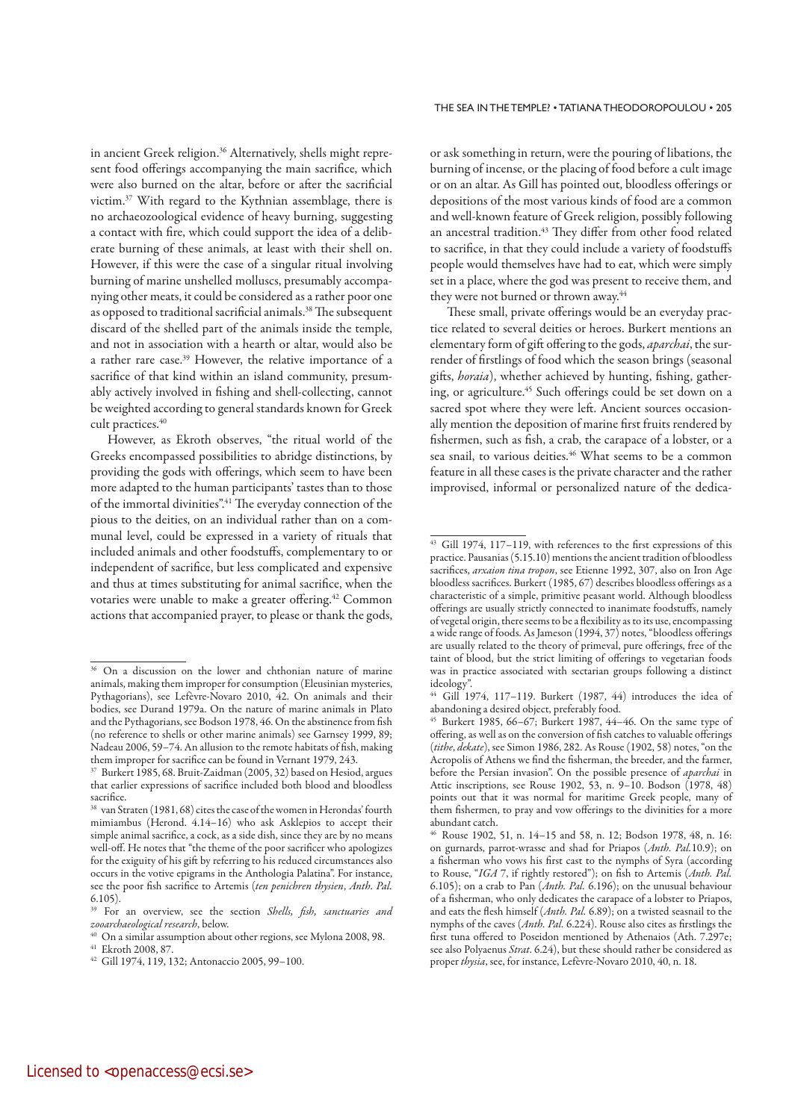in ancient Greek religion.<sup>36</sup> Alternatively, shells might represent food offerings accompanying the main sacrifice, which were also burned on the altar, before or after the sacrificial victim.37 With regard to the Kythnian assemblage, there is no archaeozoological evidence of heavy burning, suggesting a contact with fire, which could support the idea of a deliberate burning of these animals, at least with their shell on. However, if this were the case of a singular ritual involving burning of marine unshelled molluscs, presumably accompanying other meats, it could be considered as a rather poor one as opposed to traditional sacrificial animals.38 The subsequent discard of the shelled part of the animals inside the temple, and not in association with a hearth or altar, would also be a rather rare case.39 However, the relative importance of a sacrifice of that kind within an island community, presumably actively involved in fishing and shell-collecting, cannot be weighted according to general standards known for Greek cult practices.<sup>40</sup>

However, as Ekroth observes, "the ritual world of the Greeks encompassed possibilities to abridge distinctions, by providing the gods with offerings, which seem to have been more adapted to the human participants' tastes than to those of the immortal divinities".41 The everyday connection of the pious to the deities, on an individual rather than on a communal level, could be expressed in a variety of rituals that included animals and other foodstuffs, complementary to or independent of sacrifice, but less complicated and expensive and thus at times substituting for animal sacrifice, when the votaries were unable to make a greater offering.<sup>42</sup> Common actions that accompanied prayer, to please or thank the gods, or ask something in return, were the pouring of libations, the burning of incense, or the placing of food before a cult image or on an altar. As Gill has pointed out, bloodless offerings or depositions of the most various kinds of food are a common and well-known feature of Greek religion, possibly following an ancestral tradition.<sup>43</sup> They differ from other food related to sacrifice, in that they could include a variety of foodstuffs people would themselves have had to eat, which were simply set in a place, where the god was present to receive them, and they were not burned or thrown away.<sup>44</sup>

These small, private offerings would be an everyday practice related to several deities or heroes. Burkert mentions an elementary form of gift offering to the gods, aparchai, the surrender of firstlings of food which the season brings (seasonal gifts, *horaia*), whether achieved by hunting, fishing, gathering, or agriculture.<sup>45</sup> Such offerings could be set down on a sacred spot where they were left. Ancient sources occasionally mention the deposition of marine first fruits rendered by fishermen, such as fish, a crab, the carapace of a lobster, or a sea snail, to various deities.<sup>46</sup> What seems to be a common feature in all these cases is the private character and the rather improvised, informal or personalized nature of the dedica-

<sup>&</sup>lt;sup>36</sup> On a discussion on the lower and chthonian nature of marine animals, making them improper for consumption (Eleusinian mysteries, Pythagorians), see Lefèvre-Novaro 2010, 42. On animals and their bodies, see Durand 1979a. On the nature of marine animals in Plato and the Pythagorians, see Bodson 1978, 46. On the abstinence from fish (no reference to shells or other marine animals) see Garnsey 1999, 89; Nadeau 2006, 59–74. An allusion to the remote habitats of fish, making them improper for sacrifice can be found in Vernant 1979, 243.

<sup>37</sup> Burkert 1985, 68. Bruit-Zaidman (2005, 32) based on Hesiod, argues that earlier expressions of sacrifice included both blood and bloodless sacrifice.

<sup>38</sup> van Straten (1981, 68) cites the case of the women in Herondas' fourth mimiambus (Herond. 4.14–16) who ask Asklepios to accept their simple animal sacrifice, a cock, as a side dish, since they are by no means well-off. He notes that "the theme of the poor sacrificer who apologizes for the exiguity of his gift by referring to his reduced circumstances also occurs in the votive epigrams in the Anthologia Palatina". For instance, see the poor fish sacrifice to Artemis (ten penichren thysien, Anth. Pal. 6.105).

<sup>&</sup>lt;sup>39</sup> For an overview, see the section *Shells*, *fish, sanctuaries and* zooarchaeological research, below.

<sup>40</sup> On a similar assumption about other regions, see Mylona 2008, 98.

<sup>41</sup> Ekroth 2008, 87.

<sup>42</sup> Gill 1974, 119, 132; Antonaccio 2005, 99–100.

<sup>43</sup> Gill 1974, 117–119, with references to the first expressions of this practice. Pausanias (5.15.10) mentions the ancient tradition of bloodless sacrifices, arxaion tina tropon, see Etienne 1992, 307, also on Iron Age bloodless sacrifices. Burkert (1985, 67) describes bloodless offerings as a characteristic of a simple, primitive peasant world. Although bloodless offerings are usually strictly connected to inanimate foodstuffs, namely of vegetal origin, there seems to be a flexibility as to its use, encompassing a wide range of foods. As Jameson (1994, 37) notes, "bloodless offerings are usually related to the theory of primeval, pure offerings, free of the taint of blood, but the strict limiting of offerings to vegetarian foods was in practice associated with sectarian groups following a distinct ideology".

<sup>44</sup> Gill 1974, 117–119. Burkert (1987, 44) introduces the idea of abandoning a desired object, preferably food.

<sup>45</sup> Burkert 1985, 66–67; Burkert 1987, 44–46. On the same type of offering, as well as on the conversion of fish catches to valuable offerings (tithe, dekate), see Simon 1986, 282. As Rouse (1902, 58) notes, "on the Acropolis of Athens we find the fisherman, the breeder, and the farmer, before the Persian invasion". On the possible presence of aparchai in Attic inscriptions, see Rouse 1902, 53, n. 9–10. Bodson (1978, 48) points out that it was normal for maritime Greek people, many of them fishermen, to pray and vow offerings to the divinities for a more abundant catch.

<sup>46</sup> Rouse 1902, 51, n. 14–15 and 58, n. 12; Bodson 1978, 48, n. 16: on gurnards, parrot-wrasse and shad for Priapos (Anth. Pal.10.9); on a fisherman who vows his first cast to the nymphs of Syra (according to Rouse, "IGA 7, if rightly restored"); on fish to Artemis (Anth. Pal. 6.105); on a crab to Pan  $(Anth. Pal. 6.196)$ ; on the unusual behaviour of a fisherman, who only dedicates the carapace of a lobster to Priapos, and eats the flesh himself (Anth. Pal. 6.89); on a twisted seasnail to the nymphs of the caves (Anth. Pal. 6.224). Rouse also cites as firstlings the first tuna offered to Poseidon mentioned by Athenaios (Ath. 7.297e; see also Polyaenus Strat. 6.24), but these should rather be considered as proper thysia, see, for instance, Lefèvre-Novaro 2010, 40, n. 18.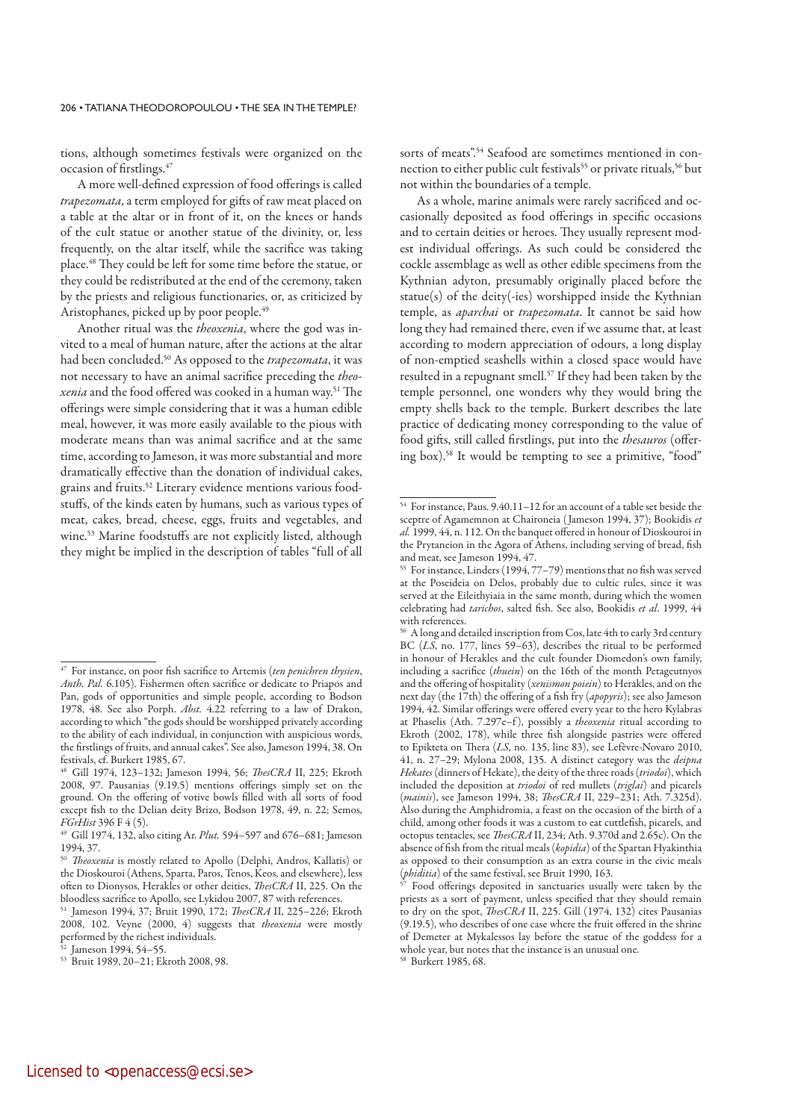tions, although sometimes festivals were organized on the occasion of firstlings.<sup>47</sup>

A more well-defined expression of food offerings is called trapezomata, a term employed for gifts of raw meat placed on a table at the altar or in front of it, on the knees or hands of the cult statue or another statue of the divinity, or, less frequently, on the altar itself, while the sacrifice was taking place.48 They could be left for some time before the statue, or they could be redistributed at the end of the ceremony, taken by the priests and religious functionaries, or, as criticized by Aristophanes, picked up by poor people.<sup>49</sup>

Another ritual was the theoxenia, where the god was invited to a meal of human nature, after the actions at the altar had been concluded.<sup>50</sup> As opposed to the *trapezomata*, it was not necessary to have an animal sacrifice preceding the theoxenia and the food offered was cooked in a human way.51 The offerings were simple considering that it was a human edible meal, however, it was more easily available to the pious with moderate means than was animal sacrifice and at the same time, according to Jameson, it was more substantial and more dramatically effective than the donation of individual cakes, grains and fruits.52 Literary evidence mentions various foodstuffs, of the kinds eaten by humans, such as various types of meat, cakes, bread, cheese, eggs, fruits and vegetables, and wine.53 Marine foodstuffs are not explicitly listed, although they might be implied in the description of tables "full of all sorts of meats".<sup>54</sup> Seafood are sometimes mentioned in connection to either public cult festivals<sup>55</sup> or private rituals,<sup>56</sup> but not within the boundaries of a temple.

As a whole, marine animals were rarely sacrificed and occasionally deposited as food offerings in specific occasions and to certain deities or heroes. They usually represent modest individual offerings. As such could be considered the cockle assemblage as well as other edible specimens from the Kythnian adyton, presumably originally placed before the statue(s) of the deity(-ies) worshipped inside the Kythnian temple, as aparchai or trapezomata. It cannot be said how long they had remained there, even if we assume that, at least according to modern appreciation of odours, a long display of non-emptied seashells within a closed space would have resulted in a repugnant smell.57 If they had been taken by the temple personnel, one wonders why they would bring the empty shells back to the temple. Burkert describes the late practice of dedicating money corresponding to the value of food gifts, still called firstlings, put into the thesauros (offering box).58 It would be tempting to see a primitive, "food"

<sup>&</sup>lt;sup>47</sup> For instance, on poor fish sacrifice to Artemis (ten penichren thysien, Anth. Pal. 6.105). Fishermen often sacrifice or dedicate to Priapos and Pan, gods of opportunities and simple people, according to Bodson 1978, 48. See also Porph. Abst. 4.22 referring to a law of Drakon, according to which "the gods should be worshipped privately according to the ability of each individual, in conjunction with auspicious words, the firstlings of fruits, and annual cakes". See also, Jameson 1994, 38. On festivals, cf. Burkert 1985, 67.

<sup>48</sup> Gill 1974, 123-132; Jameson 1994, 56; ThesCRA II, 225; Ekroth 2008, 97. Pausanias (9.19.5) mentions offerings simply set on the ground. On the offering of votive bowls filled with all sorts of food except fish to the Delian deity Brizo, Bodson 1978, 49, n. 22; Semos, FGrHist 396 F 4 (5).

<sup>&</sup>lt;sup>49</sup> Gill 1974, 132, also citing Ar. *Plut.* 594–597 and 676–681; Jameson 1994, 37.

<sup>&</sup>lt;sup>50</sup> Theoxenia is mostly related to Apollo (Delphi, Andros, Kallatis) or the Dioskouroi (Athens, Sparta, Paros, Tenos, Keos, and elsewhere), less often to Dionysos, Herakles or other deities, ThesCRA II, 225. On the bloodless sacrifice to Apollo, see Lykidou 2007, 87 with references.

<sup>&</sup>lt;sup>51</sup> Jameson 1994, 37; Bruit 1990, 172; *ThesCRA* II, 225–226; Ekroth 2008, 102. Veyne (2000, 4) suggests that theoxenia were mostly performed by the richest individuals.

 $2$  Jameson 1994, 54–55.

<sup>53</sup> Bruit 1989, 20–21; Ekroth 2008, 98.

<sup>54</sup> For instance, Paus. 9.40.11–12 for an account of a table set beside the sceptre of Agamemnon at Chaironeia (Jameson 1994, 37); Bookidis et al. 1999, 44, n. 112. On the banquet offered in honour of Dioskouroi in the Prytaneion in the Agora of Athens, including serving of bread, fish and meat, see Jameson 1994, 47.

<sup>55</sup> For instance, Linders (1994, 77–79) mentions that no fish was served at the Poseideia on Delos, probably due to cultic rules, since it was served at the Eileithyiaia in the same month, during which the women celebrating had tarichos, salted fish. See also, Bookidis et al. 1999, 44 with references.

<sup>56</sup> A long and detailed inscription from Cos, late 4th to early 3rd century BC  $(LS, no. 177, lines 59-63)$ , describes the ritual to be performed in honour of Herakles and the cult founder Diomedon's own family, including a sacrifice (thuein) on the 16th of the month Petageutnyos and the offering of hospitality (xenismon poiein) to Herakles, and on the next day (the 17th) the offering of a fish fry (apopyris); see also Jameson 1994, 42. Similar offerings were offered every year to the hero Kylabras at Phaselis (Ath. 7.297e–f), possibly a *theoxenia* ritual according to Ekroth (2002, 178), while three fish alongside pastries were offered to Epikteta on Thera (LS, no. 135, line 83), see Lefèvre-Novaro 2010, 41, n. 27–29; Mylona 2008, 135. A distinct category was the deipna Hekates (dinners of Hekate), the deity of the three roads (triodoi), which included the deposition at triodoi of red mullets (triglai) and picarels (mainis), see Jameson 1994, 38; ThesCRA II, 229-231; Ath. 7.325d). Also during the Amphidromia, a feast on the occasion of the birth of a child, among other foods it was a custom to eat cuttlefish, picarels, and octopus tentacles, see ThesCRA II, 234; Ath. 9.370d and 2.65c). On the absence of fish from the ritual meals (kopidia) of the Spartan Hyakinthia as opposed to their consumption as an extra course in the civic meals (*phiditia*) of the same festival, see Bruit 1990, 163.<br><sup>57</sup> Food offerings dependent in the civil 1

Food offerings deposited in sanctuaries usually were taken by the priests as a sort of payment, unless specified that they should remain to dry on the spot, *ThesCRA II*, 225. Gill (1974, 132) cites Pausanias (9.19.5), who describes of one case where the fruit offered in the shrine of Demeter at Mykalessos lay before the statue of the goddess for a whole year, but notes that the instance is an unusual one. 58 Burkert 1985, 68.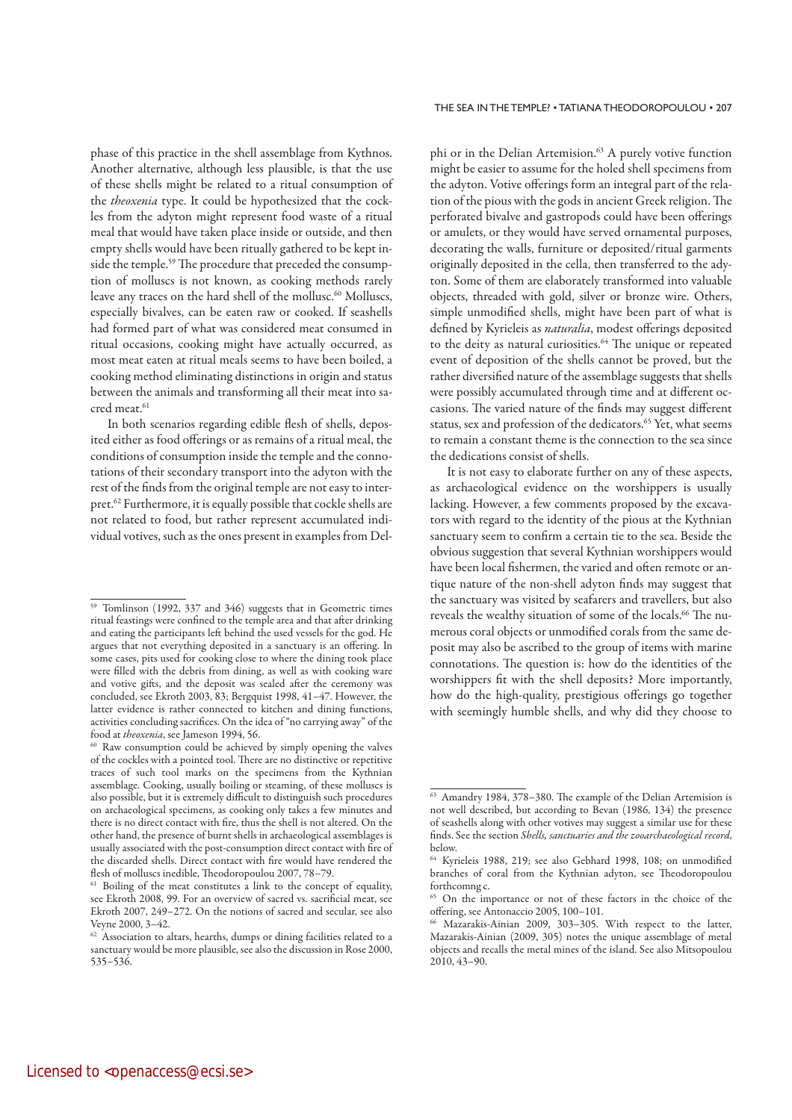phase of this practice in the shell assemblage from Kythnos. Another alternative, although less plausible, is that the use of these shells might be related to a ritual consumption of the theoxenia type. It could be hypothesized that the cockles from the adyton might represent food waste of a ritual meal that would have taken place inside or outside, and then empty shells would have been ritually gathered to be kept inside the temple.59 The procedure that preceded the consumption of molluscs is not known, as cooking methods rarely leave any traces on the hard shell of the mollusc.<sup>60</sup> Molluscs, especially bivalves, can be eaten raw or cooked. If seashells had formed part of what was considered meat consumed in ritual occasions, cooking might have actually occurred, as most meat eaten at ritual meals seems to have been boiled, a cooking method eliminating distinctions in origin and status between the animals and transforming all their meat into sacred meat.<sup>61</sup>

In both scenarios regarding edible flesh of shells, deposited either as food offerings or as remains of a ritual meal, the conditions of consumption inside the temple and the connotations of their secondary transport into the adyton with the rest of the finds from the original temple are not easy to interpret.62 Furthermore, it is equally possible that cockle shells are not related to food, but rather represent accumulated individual votives, such as the ones present in examples from Delphi or in the Delian Artemision.<sup>63</sup> A purely votive function might be easier to assume for the holed shell specimens from the adyton. Votive offerings form an integral part of the relation of the pious with the gods in ancient Greek religion. The perforated bivalve and gastropods could have been offerings or amulets, or they would have served ornamental purposes, decorating the walls, furniture or deposited/ritual garments originally deposited in the cella, then transferred to the adyton. Some of them are elaborately transformed into valuable objects, threaded with gold, silver or bronze wire. Others, simple unmodified shells, might have been part of what is defined by Kyrieleis as naturalia, modest offerings deposited to the deity as natural curiosities.<sup>64</sup> The unique or repeated event of deposition of the shells cannot be proved, but the rather diversified nature of the assemblage suggests that shells were possibly accumulated through time and at different occasions. The varied nature of the finds may suggest different status, sex and profession of the dedicators.<sup>65</sup> Yet, what seems to remain a constant theme is the connection to the sea since the dedications consist of shells.

It is not easy to elaborate further on any of these aspects, as archaeological evidence on the worshippers is usually lacking. However, a few comments proposed by the excavators with regard to the identity of the pious at the Kythnian sanctuary seem to confirm a certain tie to the sea. Beside the obvious suggestion that several Kythnian worshippers would have been local fishermen, the varied and often remote or antique nature of the non-shell adyton finds may suggest that the sanctuary was visited by seafarers and travellers, but also reveals the wealthy situation of some of the locals.<sup>66</sup> The numerous coral objects or unmodified corals from the same deposit may also be ascribed to the group of items with marine connotations. The question is: how do the identities of the worshippers fit with the shell deposits? More importantly, how do the high-quality, prestigious offerings go together with seemingly humble shells, and why did they choose to

<sup>59</sup> Tomlinson (1992, 337 and 346) suggests that in Geometric times ritual feastings were confined to the temple area and that after drinking and eating the participants left behind the used vessels for the god. He argues that not everything deposited in a sanctuary is an offering. In some cases, pits used for cooking close to where the dining took place were filled with the debris from dining, as well as with cooking ware and votive gifts, and the deposit was sealed after the ceremony was concluded, see Ekroth 2003, 83; Bergquist 1998, 41–47. However, the latter evidence is rather connected to kitchen and dining functions, activities concluding sacrifices. On the idea of "no carrying away" of the food at theoxenia, see Jameson 1994, 56.

<sup>60</sup> Raw consumption could be achieved by simply opening the valves of the cockles with a pointed tool. There are no distinctive or repetitive traces of such tool marks on the specimens from the Kythnian assemblage. Cooking, usually boiling or steaming, of these molluscs is also possible, but it is extremely difficult to distinguish such procedures on archaeological specimens, as cooking only takes a few minutes and there is no direct contact with fire, thus the shell is not altered. On the other hand, the presence of burnt shells in archaeological assemblages is usually associated with the post-consumption direct contact with fire of the discarded shells. Direct contact with fire would have rendered the flesh of molluscs inedible, Theodoropoulou 2007, 78–79.

<sup>&</sup>lt;sup>61</sup> Boiling of the meat constitutes a link to the concept of equality, see Ekroth 2008, 99. For an overview of sacred vs. sacrificial meat, see Ekroth 2007, 249–272. On the notions of sacred and secular, see also Veyne 2000, 3–42.

<sup>&</sup>lt;sup>62</sup> Association to altars, hearths, dumps or dining facilities related to a sanctuary would be more plausible, see also the discussion in Rose 2000, 535–536.

 $\overline{63}$  Amandry 1984, 378-380. The example of the Delian Artemision is not well described, but according to Bevan (1986, 134) the presence of seashells along with other votives may suggest a similar use for these finds. See the section Shells, sanctuaries and the zooarchaeological record, below.

<sup>64</sup> Kyrieleis 1988, 219; see also Gebhard 1998, 108; on unmodified branches of coral from the Kythnian adyton, see Theodoropoulou forthcomng c.

<sup>65</sup> On the importance or not of these factors in the choice of the offering, see Antonaccio 2005, 100–101.

<sup>66</sup> Mazarakis-Ainian 2009, 303–305. With respect to the latter, Mazarakis-Ainian (2009, 305) notes the unique assemblage of metal objects and recalls the metal mines of the island. See also Mitsopoulou 2010, 43–90.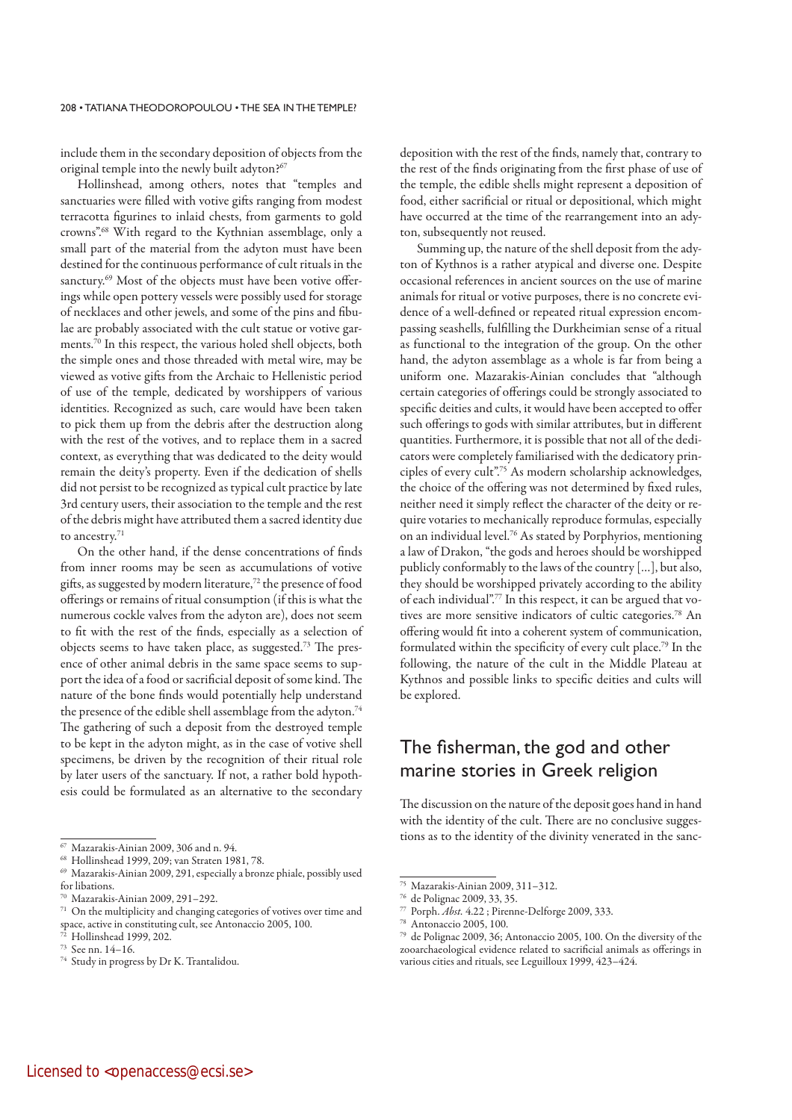include them in the secondary deposition of objects from the original temple into the newly built adyton?<sup>67</sup>

Hollinshead, among others, notes that "temples and sanctuaries were filled with votive gifts ranging from modest terracotta figurines to inlaid chests, from garments to gold crowns".68 With regard to the Kythnian assemblage, only a small part of the material from the adyton must have been destined for the continuous performance of cult rituals in the sanctury.<sup>69</sup> Most of the objects must have been votive offerings while open pottery vessels were possibly used for storage of necklaces and other jewels, and some of the pins and fibulae are probably associated with the cult statue or votive garments.70 In this respect, the various holed shell objects, both the simple ones and those threaded with metal wire, may be viewed as votive gifts from the Archaic to Hellenistic period of use of the temple, dedicated by worshippers of various identities. Recognized as such, care would have been taken to pick them up from the debris after the destruction along with the rest of the votives, and to replace them in a sacred context, as everything that was dedicated to the deity would remain the deity's property. Even if the dedication of shells did not persist to be recognized as typical cult practice by late 3rd century users, their association to the temple and the rest of the debris might have attributed them a sacred identity due to ancestry.71

On the other hand, if the dense concentrations of finds from inner rooms may be seen as accumulations of votive gifts, as suggested by modern literature,<sup>72</sup> the presence of food offerings or remains of ritual consumption (if this is what the numerous cockle valves from the adyton are), does not seem to fit with the rest of the finds, especially as a selection of objects seems to have taken place, as suggested.73 The presence of other animal debris in the same space seems to support the idea of a food or sacrificial deposit of some kind. The nature of the bone finds would potentially help understand the presence of the edible shell assemblage from the adyton.<sup>74</sup> The gathering of such a deposit from the destroyed temple to be kept in the adyton might, as in the case of votive shell specimens, be driven by the recognition of their ritual role by later users of the sanctuary. If not, a rather bold hypothesis could be formulated as an alternative to the secondary deposition with the rest of the finds, namely that, contrary to the rest of the finds originating from the first phase of use of the temple, the edible shells might represent a deposition of food, either sacrificial or ritual or depositional, which might have occurred at the time of the rearrangement into an adyton, subsequently not reused.

Summing up, the nature of the shell deposit from the adyton of Kythnos is a rather atypical and diverse one. Despite occasional references in ancient sources on the use of marine animals for ritual or votive purposes, there is no concrete evidence of a well-defined or repeated ritual expression encompassing seashells, fulfilling the Durkheimian sense of a ritual as functional to the integration of the group. On the other hand, the adyton assemblage as a whole is far from being a uniform one. Mazarakis-Ainian concludes that "although certain categories of offerings could be strongly associated to specific deities and cults, it would have been accepted to offer such offerings to gods with similar attributes, but in different quantities. Furthermore, it is possible that not all of the dedicators were completely familiarised with the dedicatory principles of every cult".75 As modern scholarship acknowledges, the choice of the offering was not determined by fixed rules, neither need it simply reflect the character of the deity or require votaries to mechanically reproduce formulas, especially on an individual level.76 As stated by Porphyrios, mentioning a law of Drakon, "the gods and heroes should be worshipped publicly conformably to the laws of the country […], but also, they should be worshipped privately according to the ability of each individual".77 In this respect, it can be argued that votives are more sensitive indicators of cultic categories.78 An offering would fit into a coherent system of communication, formulated within the specificity of every cult place.79 In the following, the nature of the cult in the Middle Plateau at Kythnos and possible links to specific deities and cults will be explored.

## The fisherman, the god and other marine stories in Greek religion

The discussion on the nature of the deposit goes hand in hand with the identity of the cult. There are no conclusive suggestions as to the identity of the divinity venerated in the sanc-

<sup>67</sup> Mazarakis-Ainian 2009, 306 and n. 94.

<sup>68</sup> Hollinshead 1999, 209; van Straten 1981, 78.

<sup>69</sup> Mazarakis-Ainian 2009, 291, especially a bronze phiale, possibly used for libations.

<sup>70</sup> Mazarakis-Ainian 2009, 291–292.

<sup>71</sup> On the multiplicity and changing categories of votives over time and space, active in constituting cult, see Antonaccio 2005, 100.

 $72$  Hollinshead 1999, 202.

<sup>73</sup> See nn. 14–16.

<sup>74</sup> Study in progress by Dr K. Trantalidou.

<sup>75</sup> Mazarakis-Ainian 2009, 311–312.

<sup>76</sup> de Polignac 2009, 33, 35.

 $77$  Porph. *Abst.* 4.22 ; Pirenne-Delforge 2009, 333.

<sup>78</sup> Antonaccio 2005, 100.

<sup>79</sup> de Polignac 2009, 36; Antonaccio 2005, 100. On the diversity of the zooarchaeological evidence related to sacrificial animals as offerings in various cities and rituals, see Leguilloux 1999, 423–424.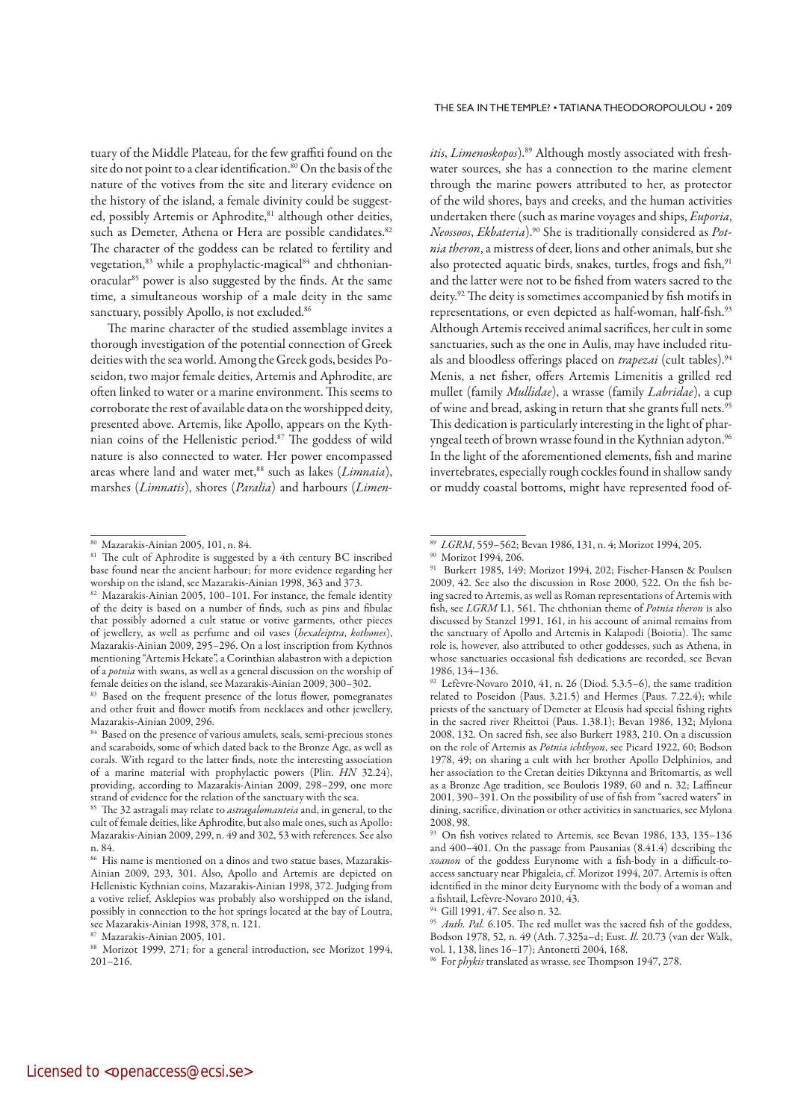tuary of the Middle Plateau, for the few graffiti found on the site do not point to a clear identification.<sup>80</sup> On the basis of the nature of the votives from the site and literary evidence on the history of the island, a female divinity could be suggested, possibly Artemis or Aphrodite,<sup>81</sup> although other deities, such as Demeter, Athena or Hera are possible candidates.<sup>82</sup> The character of the goddess can be related to fertility and vegetation,<sup>83</sup> while a prophylactic-magical<sup>84</sup> and chthonianoracular<sup>85</sup> power is also suggested by the finds. At the same time, a simultaneous worship of a male deity in the same sanctuary, possibly Apollo, is not excluded.<sup>86</sup>

The marine character of the studied assemblage invites a thorough investigation of the potential connection of Greek deities with the sea world. Among the Greek gods, besides Poseidon, two major female deities, Artemis and Aphrodite, are often linked to water or a marine environment. This seems to corroborate the rest of available data on the worshipped deity, presented above. Artemis, like Apollo, appears on the Kythnian coins of the Hellenistic period.87 The goddess of wild nature is also connected to water. Her power encompassed areas where land and water met, $88$  such as lakes (*Limnaia*), marshes (Limnatis), shores (Paralia) and harbours (Limenitis, Limenoskopos).<sup>89</sup> Although mostly associated with freshwater sources, she has a connection to the marine element through the marine powers attributed to her, as protector of the wild shores, bays and creeks, and the human activities undertaken there (such as marine voyages and ships, Euporia, Neossoos, Ekbateria).<sup>90</sup> She is traditionally considered as Potnia theron, a mistress of deer, lions and other animals, but she also protected aquatic birds, snakes, turtles, frogs and fish,<sup>91</sup> and the latter were not to be fished from waters sacred to the deity.92 The deity is sometimes accompanied by fish motifs in representations, or even depicted as half-woman, half-fish.<sup>93</sup> Although Artemis received animal sacrifices, her cult in some sanctuaries, such as the one in Aulis, may have included rituals and bloodless offerings placed on trapezai (cult tables).<sup>94</sup> Menis, a net fisher, offers Artemis Limenitis a grilled red mullet (family Mullidae), a wrasse (family Labridae), a cup of wine and bread, asking in return that she grants full nets.<sup>95</sup> This dedication is particularly interesting in the light of pharyngeal teeth of brown wrasse found in the Kythnian adyton.<sup>96</sup> In the light of the aforementioned elements, fish and marine invertebrates, especially rough cockles found in shallow sandy or muddy coastal bottoms, might have represented food of-

<sup>80</sup> Mazarakis-Ainian 2005, 101, n. 84.

<sup>&</sup>lt;sup>81</sup> The cult of Aphrodite is suggested by a 4th century BC inscribed base found near the ancient harbour; for more evidence regarding her worship on the island, see Mazarakis-Ainian 1998, 363 and 373.

<sup>82</sup> Mazarakis-Ainian 2005, 100-101. For instance, the female identity of the deity is based on a number of finds, such as pins and fibulae that possibly adorned a cult statue or votive garments, other pieces of jewellery, as well as perfume and oil vases (hexaleiptra, kothones), Mazarakis-Ainian 2009, 295–296. On a lost inscription from Kythnos mentioning "Artemis Hekate", a Corinthian alabastron with a depiction of a potnia with swans, as well as a general discussion on the worship of female deities on the island, see Mazarakis-Ainian 2009, 300–302.

<sup>&</sup>lt;sup>83</sup> Based on the frequent presence of the lotus flower, pomegranates and other fruit and flower motifs from necklaces and other jewellery, Mazarakis-Ainian 2009, 296.

<sup>&</sup>lt;sup>84</sup> Based on the presence of various amulets, seals, semi-precious stones and scaraboids, some of which dated back to the Bronze Age, as well as corals. With regard to the latter finds, note the interesting association of a marine material with prophylactic powers (Plin. HN 32.24), providing, according to Mazarakis-Ainian 2009, 298–299, one more strand of evidence for the relation of the sanctuary with the sea.

<sup>&</sup>lt;sup>85</sup> The 32 astragali may relate to *astragalomanteia* and, in general, to the cult of female deities, like Aphrodite, but also male ones, such as Apollo: Mazarakis-Ainian 2009, 299, n. 49 and 302, 53 with references. See also n. 84.

<sup>86</sup> His name is mentioned on a dinos and two statue bases, Mazarakis-Ainian 2009, 293, 301. Also, Apollo and Artemis are depicted on Hellenistic Kythnian coins, Mazarakis-Ainian 1998, 372. Judging from a votive relief, Asklepios was probably also worshipped on the island, possibly in connection to the hot springs located at the bay of Loutra, see Mazarakis-Ainian 1998, 378, n. 121.

<sup>87</sup> Mazarakis-Ainian 2005, 101.

<sup>88</sup> Morizot 1999, 271; for a general introduction, see Morizot 1994, 201–216.

<sup>89</sup>LGRM, 559–562; Bevan 1986, 131, n. 4; Morizot 1994, 205.

<sup>90</sup> Morizot 1994, 206.

<sup>91</sup> Burkert 1985, 149; Morizot 1994, 202; Fischer-Hansen & Poulsen 2009, 42. See also the discussion in Rose 2000, 522. On the fish being sacred to Artemis, as well as Roman representations of Artemis with fish, see LGRM I.1, 561. The chthonian theme of Potnia theron is also discussed by Stanzel 1991, 161, in his account of animal remains from the sanctuary of Apollo and Artemis in Kalapodi (Boiotia). The same role is, however, also attributed to other goddesses, such as Athena, in whose sanctuaries occasional fish dedications are recorded, see Bevan 1986, 134–136.

 $92$  Lefèvre-Novaro 2010, 41, n. 26 (Diod. 5.3.5–6), the same tradition related to Poseidon (Paus. 3.21.5) and Hermes (Paus. 7.22.4); while priests of the sanctuary of Demeter at Eleusis had special fishing rights in the sacred river Rheittoi (Paus. 1.38.1); Bevan 1986, 132; Mylona 2008, 132. On sacred fish, see also Burkert 1983, 210. On a discussion on the role of Artemis as Potnia ichthyon, see Picard 1922, 60; Bodson 1978, 49; on sharing a cult with her brother Apollo Delphinios, and her association to the Cretan deities Diktynna and Britomartis, as well as a Bronze Age tradition, see Boulotis 1989, 60 and n. 32; Laffineur 2001, 390–391. On the possibility of use of fish from "sacred waters" in dining, sacrifice, divination or other activities in sanctuaries, see Mylona 2008, 98.

<sup>93</sup> On fish votives related to Artemis, see Bevan 1986, 133, 135–136 and 400–401. On the passage from Pausanias (8.41.4) describing the xoanon of the goddess Eurynome with a fish-body in a difficult-toaccess sanctuary near Phigaleia, cf. Morizot 1994, 207. Artemis is often identified in the minor deity Eurynome with the body of a woman and a fishtail, Lefèvre-Novaro 2010, 43.

<sup>94</sup> Gill 1991, 47. See also n. 32.

<sup>&</sup>lt;sup>95</sup> Anth. Pal. 6.105. The red mullet was the sacred fish of the goddess, Bodson 1978, 52, n. 49 (Ath. 7.325a–d; Eust. Il. 20.73 (van der Walk, vol. 1, 138, lines 16–17); Antonetti 2004, 168.

<sup>&</sup>lt;sup>96</sup> For *phykis* translated as wrasse, see Thompson 1947, 278.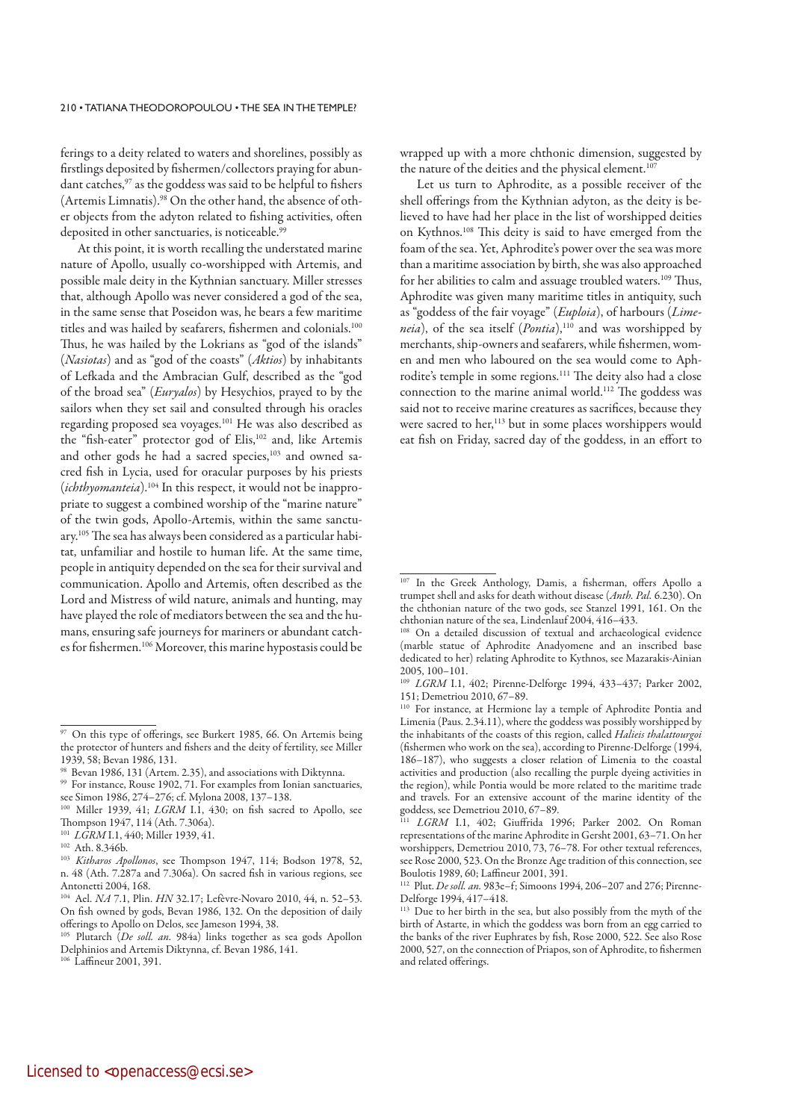ferings to a deity related to waters and shorelines, possibly as firstlings deposited by fishermen/collectors praying for abundant catches,<sup>97</sup> as the goddess was said to be helpful to fishers (Artemis Limnatis).98 On the other hand, the absence of other objects from the adyton related to fishing activities, often deposited in other sanctuaries, is noticeable.<sup>99</sup>

At this point, it is worth recalling the understated marine nature of Apollo, usually co-worshipped with Artemis, and possible male deity in the Kythnian sanctuary. Miller stresses that, although Apollo was never considered a god of the sea, in the same sense that Poseidon was, he bears a few maritime titles and was hailed by seafarers, fishermen and colonials.100 Thus, he was hailed by the Lokrians as "god of the islands" (Nasiotas) and as "god of the coasts" (Aktios) by inhabitants of Lefkada and the Ambracian Gulf, described as the "god of the broad sea" (Euryalos) by Hesychios, prayed to by the sailors when they set sail and consulted through his oracles regarding proposed sea voyages.101 He was also described as the "fish-eater" protector god of Elis,<sup>102</sup> and, like Artemis and other gods he had a sacred species,<sup>103</sup> and owned sacred fish in Lycia, used for oracular purposes by his priests (*ichthyomanteia*).<sup>104</sup> In this respect, it would not be inappropriate to suggest a combined worship of the "marine nature" of the twin gods, Apollo-Artemis, within the same sanctuary.105 The sea has always been considered as a particular habitat, unfamiliar and hostile to human life. At the same time, people in antiquity depended on the sea for their survival and communication. Apollo and Artemis, often described as the Lord and Mistress of wild nature, animals and hunting, may have played the role of mediators between the sea and the humans, ensuring safe journeys for mariners or abundant catches for fishermen.<sup>106</sup> Moreover, this marine hypostasis could be wrapped up with a more chthonic dimension, suggested by the nature of the deities and the physical element.<sup>107</sup>

Let us turn to Aphrodite, as a possible receiver of the shell offerings from the Kythnian adyton, as the deity is believed to have had her place in the list of worshipped deities on Kythnos.108 This deity is said to have emerged from the foam of the sea. Yet, Aphrodite's power over the sea was more than a maritime association by birth, she was also approached for her abilities to calm and assuage troubled waters.<sup>109</sup> Thus, Aphrodite was given many maritime titles in antiquity, such as "goddess of the fair voyage" (Euploia), of harbours (Limeneia), of the sea itself  $(Pontia)$ ,<sup>110</sup> and was worshipped by merchants, ship-owners and seafarers, while fishermen, women and men who laboured on the sea would come to Aphrodite's temple in some regions.111 The deity also had a close connection to the marine animal world.112 The goddess was said not to receive marine creatures as sacrifices, because they were sacred to her,<sup>113</sup> but in some places worshippers would eat fish on Friday, sacred day of the goddess, in an effort to

<sup>97</sup> On this type of offerings, see Burkert 1985, 66. On Artemis being the protector of hunters and fishers and the deity of fertility, see Miller 1939, 58; Bevan 1986, 131.

<sup>98</sup> Bevan 1986, 131 (Artem. 2.35), and associations with Diktynna.

<sup>99</sup> For instance, Rouse 1902, 71. For examples from Ionian sanctuaries, see Simon 1986, 274–276; cf. Mylona 2008, 137–138.

<sup>&</sup>lt;sup>100</sup> Miller 1939, 41; LGRM I.1, 430; on fish sacred to Apollo, see Thompson 1947, 114 (Ath. 7.306a).

 $101$  LGRM I.1, 440; Miller 1939, 41.

<sup>102</sup> Ath. 8.346b.

<sup>&</sup>lt;sup>103</sup> Kitharos Apollonos, see Thompson 1947, 114; Bodson 1978, 52, n. 48 (Ath. 7.287a and 7.306a). On sacred fish in various regions, see Antonetti 2004, 168.

<sup>104</sup> Ael. NA 7.1, Plin. HN 32.17; Lefèvre-Novaro 2010, 44, n. 52–53. On fish owned by gods, Bevan 1986, 132. On the deposition of daily offerings to Apollo on Delos, see Jameson 1994, 38.

<sup>&</sup>lt;sup>105</sup> Plutarch (De soll. an. 984a) links together as sea gods Apollon Delphinios and Artemis Diktynna, cf. Bevan 1986, 141.

<sup>106</sup> Laffineur 2001, 391.

<sup>107</sup> In the Greek Anthology, Damis, a fisherman, offers Apollo a trumpet shell and asks for death without disease (Anth. Pal. 6.230). On the chthonian nature of the two gods, see Stanzel 1991, 161. On the chthonian nature of the sea, Lindenlauf 2004, 416–433.

<sup>108</sup> On a detailed discussion of textual and archaeological evidence (marble statue of Aphrodite Anadyomene and an inscribed base dedicated to her) relating Aphrodite to Kythnos, see Mazarakis-Ainian 2005, 100–101.

<sup>&</sup>lt;sup>109</sup> LGRM I.1, 402; Pirenne-Delforge 1994, 433-437; Parker 2002, 151; Demetriou 2010, 67–89.

<sup>110</sup> For instance, at Hermione lay a temple of Aphrodite Pontia and Limenia (Paus. 2.34.11), where the goddess was possibly worshipped by the inhabitants of the coasts of this region, called Halieis thalattourgoi (fishermen who work on the sea), according to Pirenne-Delforge (1994, 186–187), who suggests a closer relation of Limenia to the coastal activities and production (also recalling the purple dyeing activities in the region), while Pontia would be more related to the maritime trade and travels. For an extensive account of the marine identity of the goddess, see Demetriou 2010, 67–89.

LGRM I.1, 402; Giuffrida 1996; Parker 2002. On Roman representations of the marine Aphrodite in Gersht 2001, 63–71. On her worshippers, Demetriou 2010, 73, 76-78. For other textual references, see Rose 2000, 523. On the Bronze Age tradition of this connection, see Boulotis 1989, 60; Laffineur 2001, 391.

<sup>112</sup> Plut. De soll. an. 983e–f; Simoons 1994, 206–207 and 276; Pirenne-Delforge 1994, 417–418.

<sup>&</sup>lt;sup>113</sup> Due to her birth in the sea, but also possibly from the myth of the birth of Astarte, in which the goddess was born from an egg carried to the banks of the river Euphrates by fish, Rose 2000, 522. See also Rose 2000, 527, on the connection of Priapos, son of Aphrodite, to fishermen and related offerings.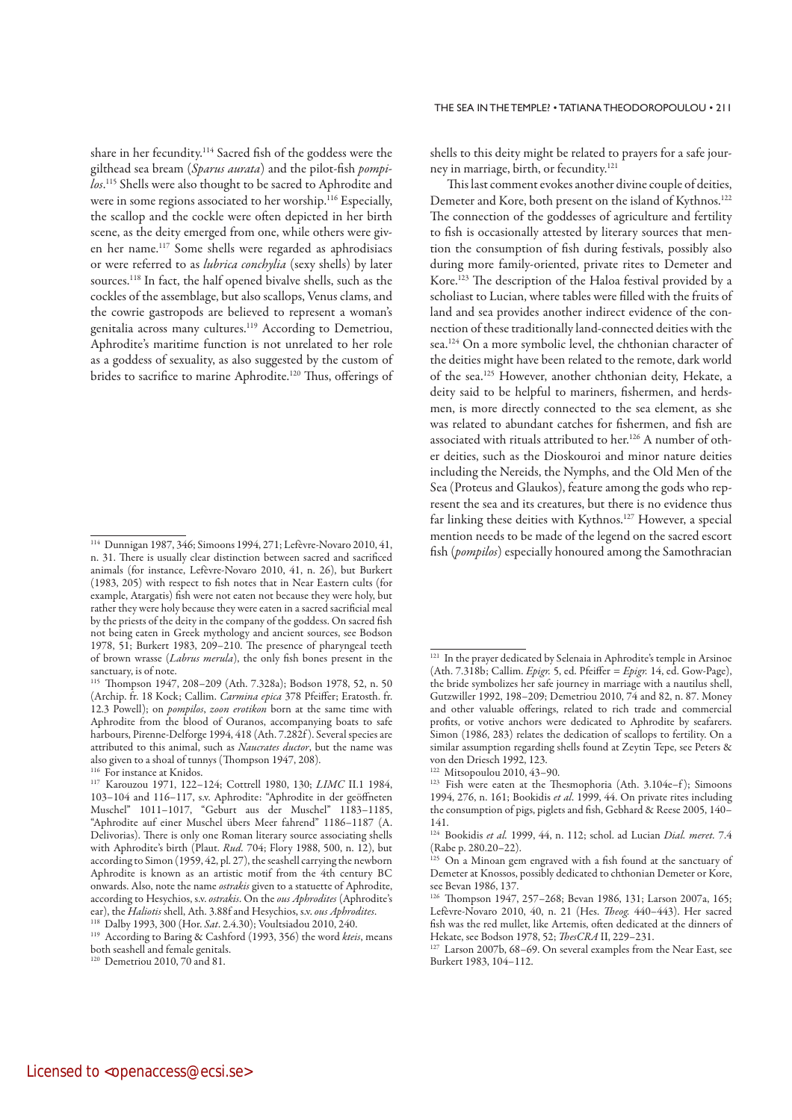share in her fecundity.114 Sacred fish of the goddess were the gilthead sea bream (Sparus aurata) and the pilot-fish pompilos.<sup>115</sup> Shells were also thought to be sacred to Aphrodite and were in some regions associated to her worship.<sup>116</sup> Especially, the scallop and the cockle were often depicted in her birth scene, as the deity emerged from one, while others were given her name.117 Some shells were regarded as aphrodisiacs or were referred to as *lubrica conchylia* (sexy shells) by later sources.118 In fact, the half opened bivalve shells, such as the cockles of the assemblage, but also scallops, Venus clams, and the cowrie gastropods are believed to represent a woman's genitalia across many cultures.119 According to Demetriou, Aphrodite's maritime function is not unrelated to her role as a goddess of sexuality, as also suggested by the custom of brides to sacrifice to marine Aphrodite.<sup>120</sup> Thus, offerings of shells to this deity might be related to prayers for a safe journey in marriage, birth, or fecundity.121

This last comment evokes another divine couple of deities, Demeter and Kore, both present on the island of Kythnos.122 The connection of the goddesses of agriculture and fertility to fish is occasionally attested by literary sources that mention the consumption of fish during festivals, possibly also during more family-oriented, private rites to Demeter and Kore.123 The description of the Haloa festival provided by a scholiast to Lucian, where tables were filled with the fruits of land and sea provides another indirect evidence of the connection of these traditionally land-connected deities with the sea.124 On a more symbolic level, the chthonian character of the deities might have been related to the remote, dark world of the sea.125 However, another chthonian deity, Hekate, a deity said to be helpful to mariners, fishermen, and herdsmen, is more directly connected to the sea element, as she was related to abundant catches for fishermen, and fish are associated with rituals attributed to her.126 A number of other deities, such as the Dioskouroi and minor nature deities including the Nereids, the Nymphs, and the Old Men of the Sea (Proteus and Glaukos), feature among the gods who represent the sea and its creatures, but there is no evidence thus far linking these deities with Kythnos.<sup>127</sup> However, a special mention needs to be made of the legend on the sacred escort fish (pompilos) especially honoured among the Samothracian

<sup>114</sup> Dunnigan 1987, 346; Simoons 1994, 271; Lefèvre-Novaro 2010, 41, n. 31. There is usually clear distinction between sacred and sacrificed animals (for instance, Lefèvre-Novaro 2010, 41, n. 26), but Burkert (1983, 205) with respect to fish notes that in Near Eastern cults (for example, Atargatis) fish were not eaten not because they were holy, but rather they were holy because they were eaten in a sacred sacrificial meal by the priests of the deity in the company of the goddess. On sacred fish not being eaten in Greek mythology and ancient sources, see Bodson 1978, 51; Burkert 1983, 209–210. The presence of pharyngeal teeth of brown wrasse (Labrus merula), the only fish bones present in the sanctuary, is of note.

<sup>115</sup> Thompson 1947, 208–209 (Ath. 7.328a); Bodson 1978, 52, n. 50 (Archip. fr. 18 Kock; Callim. Carmina epica 378 Pfeiffer; Eratosth. fr. 12.3 Powell); on *pompilos, zoon erotikon* born at the same time with Aphrodite from the blood of Ouranos, accompanying boats to safe harbours, Pirenne-Delforge 1994, 418 (Ath. 7.282f ). Several species are attributed to this animal, such as Naucrates ductor, but the name was also given to a shoal of tunnys (Thompson 1947, 208).

<sup>&</sup>lt;sup>116</sup> For instance at Knidos.

<sup>117</sup> Karouzou 1971, 122–124; Cottrell 1980, 130; LIMC II.1 1984, 103–104 and 116–117, s.v. Aphrodite: "Aphrodite in der geöffneten Muschel" 1011–1017, "Geburt aus der Muschel" 1183–1185, "Aphrodite auf einer Muschel übers Meer fahrend" 1186–1187 (A. Delivorias). There is only one Roman literary source associating shells with Aphrodite's birth (Plaut. Rud. 704; Flory 1988, 500, n. 12), but according to Simon (1959, 42, pl. 27), the seashell carrying the newborn Aphrodite is known as an artistic motif from the 4th century BC onwards. Also, note the name ostrakis given to a statuette of Aphrodite, according to Hesychios, s.v. ostrakis. On the ous Aphrodites (Aphrodite's ear), the *Haliotis* shell, Ath. 3.88f and Hesychios, s.y. *ous Aphrodites*.

<sup>&</sup>lt;sup>118</sup> Dalby 1993, 300 (Hor. *Sat.* 2.4.30); Voultsiadou 2010, 240.

<sup>&</sup>lt;sup>119</sup> According to Baring & Cashford (1993, 356) the word kteis, means both seashell and female genitals.

<sup>120</sup> Demetriou 2010, 70 and 81.

<sup>&</sup>lt;sup>121</sup> In the prayer dedicated by Selenaia in Aphrodite's temple in Arsinoe (Ath. 7.318b; Callim. Epigr. 5, ed. Pfeiffer = Epigr. 14, ed. Gow-Page), the bride symbolizes her safe journey in marriage with a nautilus shell, Gutzwiller 1992, 198–209; Demetriou 2010, 74 and 82, n. 87. Money and other valuable offerings, related to rich trade and commercial profits, or votive anchors were dedicated to Aphrodite by seafarers. Simon (1986, 283) relates the dedication of scallops to fertility. On a similar assumption regarding shells found at Zeytin Tepe, see Peters & von den Driesch 1992, 123.

<sup>122</sup> Mitsopoulou 2010, 43–90.

<sup>&</sup>lt;sup>123</sup> Fish were eaten at the Thesmophoria (Ath. 3.104e-f); Simoons 1994, 276, n. 161; Bookidis et al. 1999, 44. On private rites including the consumption of pigs, piglets and fish, Gebhard & Reese 2005, 140– 141.

<sup>124</sup> Bookidis et al. 1999, 44, n. 112; schol. ad Lucian Dial. meret. 7.4 (Rabe p. 280.20–22).

<sup>125</sup> On a Minoan gem engraved with a fish found at the sanctuary of Demeter at Knossos, possibly dedicated to chthonian Demeter or Kore, see Bevan 1986, 137.

<sup>126</sup> Thompson 1947, 257–268; Bevan 1986, 131; Larson 2007a, 165; Lefèvre-Novaro 2010, 40, n. 21 (Hes. Theog. 440–443). Her sacred fish was the red mullet, like Artemis, often dedicated at the dinners of Hekate, see Bodson 1978, 52; *ThesCRA* II, 229–231.

<sup>&</sup>lt;sup>127</sup> Larson 2007b, 68–69. On several examples from the Near East, see Burkert 1983, 104–112.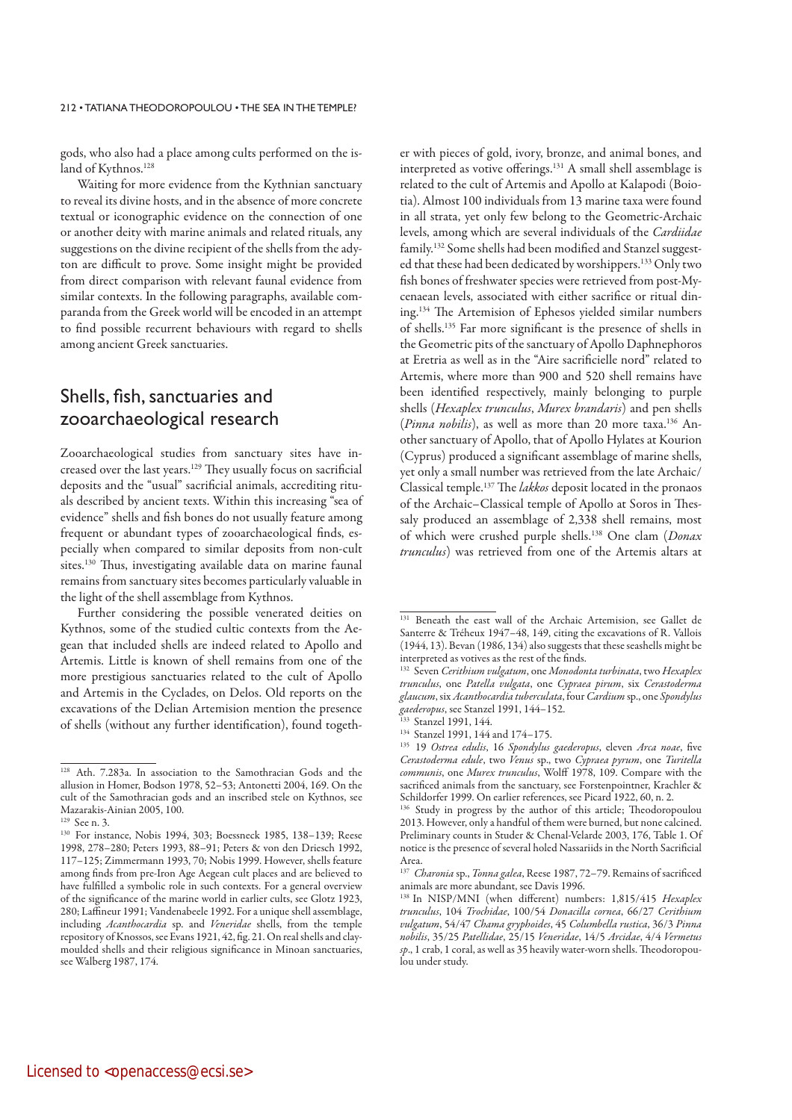gods, who also had a place among cults performed on the island of Kythnos.<sup>128</sup>

Waiting for more evidence from the Kythnian sanctuary to reveal its divine hosts, and in the absence of more concrete textual or iconographic evidence on the connection of one or another deity with marine animals and related rituals, any suggestions on the divine recipient of the shells from the adyton are difficult to prove. Some insight might be provided from direct comparison with relevant faunal evidence from similar contexts. In the following paragraphs, available comparanda from the Greek world will be encoded in an attempt to find possible recurrent behaviours with regard to shells among ancient Greek sanctuaries.

## Shells, fish, sanctuaries and zooarchaeological research

Zooarchaeological studies from sanctuary sites have increased over the last years.129 They usually focus on sacrificial deposits and the "usual" sacrificial animals, accrediting rituals described by ancient texts. Within this increasing "sea of evidence" shells and fish bones do not usually feature among frequent or abundant types of zooarchaeological finds, especially when compared to similar deposits from non-cult sites.130 Thus, investigating available data on marine faunal remains from sanctuary sites becomes particularly valuable in the light of the shell assemblage from Kythnos.

Further considering the possible venerated deities on Kythnos, some of the studied cultic contexts from the Aegean that included shells are indeed related to Apollo and Artemis. Little is known of shell remains from one of the more prestigious sanctuaries related to the cult of Apollo and Artemis in the Cyclades, on Delos. Old reports on the excavations of the Delian Artemision mention the presence of shells (without any further identification), found together with pieces of gold, ivory, bronze, and animal bones, and interpreted as votive offerings.131 A small shell assemblage is related to the cult of Artemis and Apollo at Kalapodi (Boiotia). Almost 100 individuals from 13 marine taxa were found in all strata, yet only few belong to the Geometric-Archaic levels, among which are several individuals of the Cardiidae family.132 Some shells had been modified and Stanzel suggested that these had been dedicated by worshippers.133 Only two fish bones of freshwater species were retrieved from post-Mycenaean levels, associated with either sacrifice or ritual dining.134 The Artemision of Ephesos yielded similar numbers of shells.135 Far more significant is the presence of shells in the Geometric pits of the sanctuary of Apollo Daphnephoros at Eretria as well as in the "Aire sacrificielle nord" related to Artemis, where more than 900 and 520 shell remains have been identified respectively, mainly belonging to purple shells (Hexaplex trunculus, Murex brandaris) and pen shells (Pinna nobilis), as well as more than 20 more taxa.<sup>136</sup> Another sanctuary of Apollo, that of Apollo Hylates at Kourion (Cyprus) produced a significant assemblage of marine shells, yet only a small number was retrieved from the late Archaic/ Classical temple.<sup>137</sup> The lakkos deposit located in the pronaos of the Archaic–Classical temple of Apollo at Soros in Thessaly produced an assemblage of 2,338 shell remains, most of which were crushed purple shells.<sup>138</sup> One clam (Donax trunculus) was retrieved from one of the Artemis altars at

<sup>128</sup> Ath. 7.283a. In association to the Samothracian Gods and the allusion in Homer, Bodson 1978, 52–53; Antonetti 2004, 169. On the cult of the Samothracian gods and an inscribed stele on Kythnos, see Mazarakis-Ainian 2005, 100.

<sup>129</sup> See n. 3.

<sup>130</sup> For instance, Nobis 1994, 303; Boessneck 1985, 138–139; Reese 1998, 278–280; Peters 1993, 88–91; Peters & von den Driesch 1992, 117–125; Zimmermann 1993, 70; Nobis 1999. However, shells feature among finds from pre-Iron Age Aegean cult places and are believed to have fulfilled a symbolic role in such contexts. For a general overview of the significance of the marine world in earlier cults, see Glotz 1923, 280; Laffineur 1991; Vandenabeele 1992. For a unique shell assemblage, including Acanthocardia sp. and Veneridae shells, from the temple repository of Knossos, see Evans 1921, 42, fig. 21. On real shells and claymoulded shells and their religious significance in Minoan sanctuaries, see Walberg 1987, 174.

<sup>131</sup> Beneath the east wall of the Archaic Artemision, see Gallet de Santerre & Tréheux 1947–48, 149, citing the excavations of R. Vallois (1944, 13). Bevan (1986, 134) also suggests that these seashells might be interpreted as votives as the rest of the finds.

<sup>&</sup>lt;sup>132</sup> Seven Cerithium vulgatum, one Monodonta turbinata, two Hexaplex trunculus, one Patella vulgata, one Cypraea pirum, six Cerastoderma glaucum, six Acanthocardia tuberculata, four Cardium sp., one Spondylus gaederopus, see Stanzel 1991, 144–152.

<sup>133</sup> Stanzel 1991, 144.

<sup>134</sup> Stanzel 1991, 144 and 174–175.

<sup>&</sup>lt;sup>135</sup> 19 Ostrea edulis, 16 Spondylus gaederopus, eleven Arca noae, five Cerastoderma edule, two Venus sp., two Cypraea pyrum, one Turitella communis, one Murex trunculus, Wolff 1978, 109. Compare with the sacrificed animals from the sanctuary, see Forstenpointner, Krachler & Schildorfer 1999. On earlier references, see Picard 1922, 60, n. 2.

<sup>136</sup> Study in progress by the author of this article; Theodoropoulou 2013. However, only a handful of them were burned, but none calcined. Preliminary counts in Studer & Chenal-Velarde 2003, 176, Table 1. Of notice is the presence of several holed Nassariids in the North Sacrificial Area.

<sup>&</sup>lt;sup>137</sup> Charonia sp., Tonna galea, Reese 1987, 72-79. Remains of sacrificed animals are more abundant, see Davis 1996.

<sup>&</sup>lt;sup>138</sup> In NISP/MNI (when different) numbers: 1,815/415 Hexaplex trunculus, 104 Trochidae, 100/54 Donacilla cornea, 66/27 Cerithium vulgatum, 54/47 Chama gryphoides, 45 Columbella rustica, 36/3 Pinna nobilis, 35/25 Patellidae, 25/15 Veneridae, 14/5 Arcidae, 4/4 Vermetus sp., 1 crab, 1 coral, as well as 35 heavily water-worn shells. Theodoropoulou under study.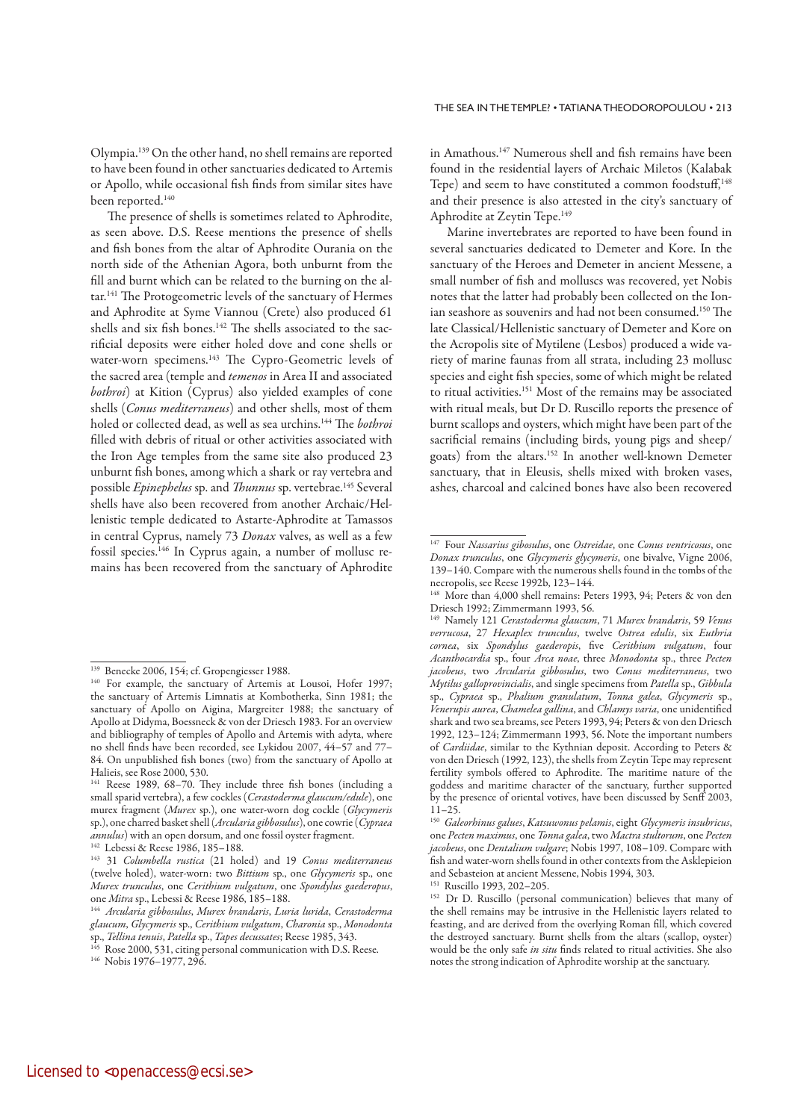Olympia.139 On the other hand, no shell remains are reported to have been found in other sanctuaries dedicated to Artemis or Apollo, while occasional fish finds from similar sites have been reported.<sup>140</sup>

The presence of shells is sometimes related to Aphrodite, as seen above. D.S. Reese mentions the presence of shells and fish bones from the altar of Aphrodite Ourania on the north side of the Athenian Agora, both unburnt from the fill and burnt which can be related to the burning on the altar.<sup>141</sup> The Protogeometric levels of the sanctuary of Hermes and Aphrodite at Syme Viannou (Crete) also produced 61 shells and six fish bones.<sup>142</sup> The shells associated to the sacrificial deposits were either holed dove and cone shells or water-worn specimens.<sup>143</sup> The Cypro-Geometric levels of the sacred area (temple and temenos in Area II and associated bothroi) at Kition (Cyprus) also yielded examples of cone shells (Conus mediterraneus) and other shells, most of them holed or collected dead, as well as sea urchins.<sup>144</sup> The *bothroi* filled with debris of ritual or other activities associated with the Iron Age temples from the same site also produced 23 unburnt fish bones, among which a shark or ray vertebra and possible Epinephelus sp. and Thunnus sp. vertebrae.<sup>145</sup> Several shells have also been recovered from another Archaic/Hellenistic temple dedicated to Astarte-Aphrodite at Tamassos in central Cyprus, namely 73 Donax valves, as well as a few fossil species.146 In Cyprus again, a number of mollusc remains has been recovered from the sanctuary of Aphrodite in Amathous.147 Numerous shell and fish remains have been found in the residential layers of Archaic Miletos (Kalabak Tepe) and seem to have constituted a common foodstuff,<sup>148</sup> and their presence is also attested in the city's sanctuary of Aphrodite at Zeytin Tepe.<sup>149</sup>

Marine invertebrates are reported to have been found in several sanctuaries dedicated to Demeter and Kore. In the sanctuary of the Heroes and Demeter in ancient Messene, a small number of fish and molluscs was recovered, yet Nobis notes that the latter had probably been collected on the Ionian seashore as souvenirs and had not been consumed.150 The late Classical/Hellenistic sanctuary of Demeter and Kore on the Acropolis site of Mytilene (Lesbos) produced a wide variety of marine faunas from all strata, including 23 mollusc species and eight fish species, some of which might be related to ritual activities.151 Most of the remains may be associated with ritual meals, but Dr D. Ruscillo reports the presence of burnt scallops and oysters, which might have been part of the sacrificial remains (including birds, young pigs and sheep/ goats) from the altars.152 In another well-known Demeter sanctuary, that in Eleusis, shells mixed with broken vases, ashes, charcoal and calcined bones have also been recovered

<sup>139</sup> Benecke 2006, 154; cf. Gropengiesser 1988.

<sup>&</sup>lt;sup>140</sup> For example, the sanctuary of Artemis at Lousoi, Hofer 1997; the sanctuary of Artemis Limnatis at Kombotherka, Sinn 1981; the sanctuary of Apollo on Aigina, Margreiter 1988; the sanctuary of Apollo at Didyma, Boessneck & von der Driesch 1983. For an overview and bibliography of temples of Apollo and Artemis with adyta, where no shell finds have been recorded, see Lykidou 2007, 44–57 and 77– 84. On unpublished fish bones (two) from the sanctuary of Apollo at Halieis, see Rose 2000, 530.

<sup>141</sup> Reese 1989, 68–70. They include three fish bones (including a small sparid vertebra), a few cockles (Cerastoderma glaucum/edule), one murex fragment (Murex sp.), one water-worn dog cockle (Glycymeris sp.), one charred basket shell (Arcularia gibbosulus), one cowrie (Cypraea<br>annulus) with an open dorsum, and one fossil oyster fragment.

<sup>&</sup>lt;sup>142</sup> Lebessi & Reese 1986, 185–188. 143 January 142 Lebessi & Reese 1986, 185–188. 143 31 *Columbella rustica* (21 holed) and 19 *Conus mediterraneus* (twelve holed), water-worn: two Bittium sp., one Glycymeris sp., one Murex trunculus, one Cerithium vulgatum, one Spondylus gaederopus, one Mitra sp., Lebessi & Reese 1986, 185–188.

<sup>&</sup>lt;sup>144</sup> Arcularia gibbosulus, Murex brandaris, Luria lurida, Cerastoderma glaucum, Glycymeris sp., Cerithium vulgatum, Charonia sp., Monodonta sp., Tellina tenuis, Patella sp., Tapes decussates; Reese 1985, 343.

<sup>&</sup>lt;sup>145</sup> Rose 2000, 531, citing personal communication with D.S. Reese. 146 Nobis 1976–1977, 296.

<sup>&</sup>lt;sup>147</sup> Four Nassarius gibosulus, one Ostreidae, one Conus ventricosus, one Donax trunculus, one Glycymeris glycymeris, one bivalve, Vigne 2006, 139–140. Compare with the numerous shells found in the tombs of the necropolis, see Reese 1992b, 123–144.

<sup>&</sup>lt;sup>148</sup> More than 4,000 shell remains: Peters 1993, 94; Peters & von den Driesch 1992; Zimmermann 1993, 56.

<sup>&</sup>lt;sup>149</sup> Namely 121 Cerastoderma glaucum, 71 Murex brandaris, 59 Venus verrucosa, 27 Hexaplex trunculus, twelve Ostrea edulis, six Euthria cornea, six Spondylus gaederopis, five Cerithium vulgatum, four Acanthocardia sp., four Arca noae, three Monodonta sp., three Pecten jacobeus, two Arcularia gibbosulus, two Conus mediterraneus, two Mytilus galloprovincialis, and single specimens from Patella sp., Gibbula sp., Cypraea sp., Phalium granulatum, Tonna galea, Glycymeris sp., Venerupis aurea, Chamelea gallina, and Chlamys varia, one unidentified shark and two sea breams, see Peters 1993, 94; Peters & von den Driesch 1992, 123–124; Zimmermann 1993, 56. Note the important numbers of Cardiidae, similar to the Kythnian deposit. According to Peters & von den Driesch (1992, 123), the shells from Zeytin Tepe may represent fertility symbols offered to Aphrodite. The maritime nature of the goddess and maritime character of the sanctuary, further supported by the presence of oriental votives, have been discussed by Senff 2003,  $11 - 25$ .

<sup>&</sup>lt;sup>150</sup> Galeorhinus galues, Katsuwonus pelamis, eight Glycymeris insubricus, one Pecten maximus, one Tonna galea, two Mactra stultorum, one Pecten jacobeus, one Dentalium vulgare; Nobis 1997, 108–109. Compare with fish and water-worn shells found in other contexts from the Asklepieion and Sebasteion at ancient Messene, Nobis 1994, 303.

<sup>151</sup> Ruscillo 1993, 202–205.

<sup>&</sup>lt;sup>152</sup> Dr D. Ruscillo (personal communication) believes that many of the shell remains may be intrusive in the Hellenistic layers related to feasting, and are derived from the overlying Roman fill, which covered the destroyed sanctuary. Burnt shells from the altars (scallop, oyster) would be the only safe in situ finds related to ritual activities. She also notes the strong indication of Aphrodite worship at the sanctuary.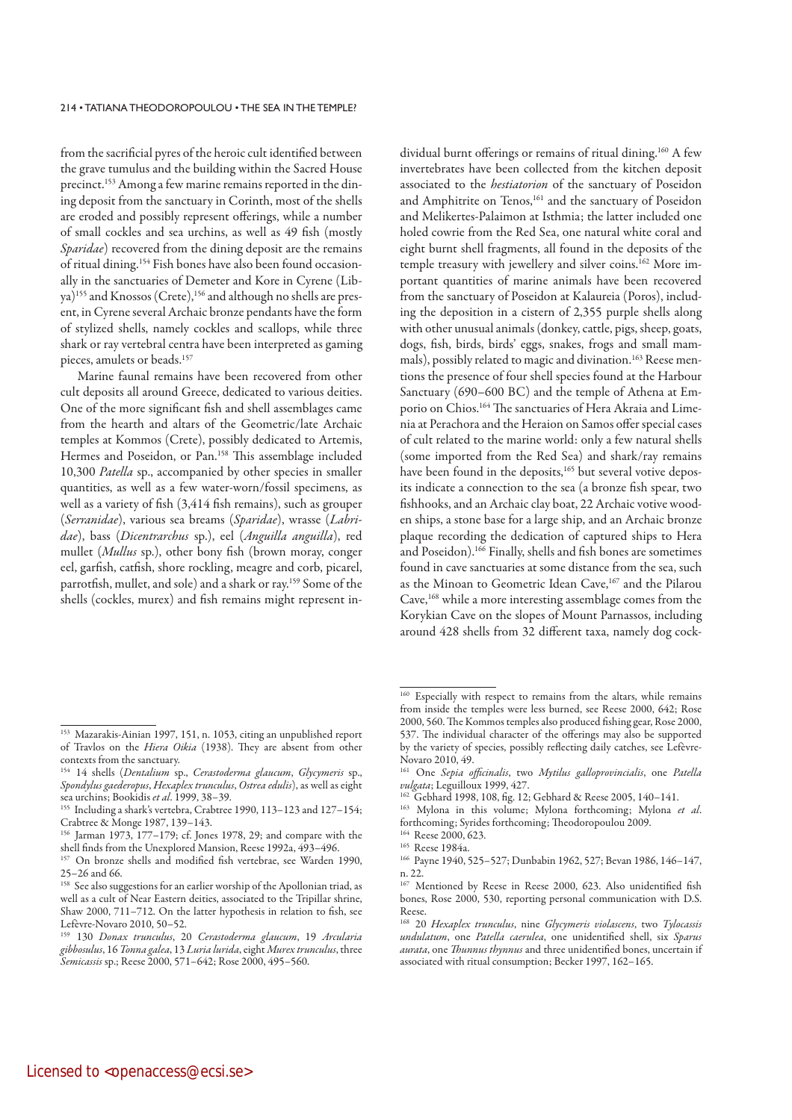from the sacrificial pyres of the heroic cult identified between the grave tumulus and the building within the Sacred House precinct.153 Among a few marine remains reported in the dining deposit from the sanctuary in Corinth, most of the shells are eroded and possibly represent offerings, while a number of small cockles and sea urchins, as well as 49 fish (mostly Sparidae) recovered from the dining deposit are the remains of ritual dining.154 Fish bones have also been found occasionally in the sanctuaries of Demeter and Kore in Cyrene (Libya)<sup>155</sup> and Knossos (Crete),<sup>156</sup> and although no shells are present, in Cyrene several Archaic bronze pendants have the form of stylized shells, namely cockles and scallops, while three shark or ray vertebral centra have been interpreted as gaming pieces, amulets or beads.<sup>157</sup>

Marine faunal remains have been recovered from other cult deposits all around Greece, dedicated to various deities. One of the more significant fish and shell assemblages came from the hearth and altars of the Geometric/late Archaic temples at Kommos (Crete), possibly dedicated to Artemis, Hermes and Poseidon, or Pan.<sup>158</sup> This assemblage included 10,300 Patella sp., accompanied by other species in smaller quantities, as well as a few water-worn/fossil specimens, as well as a variety of fish (3,414 fish remains), such as grouper (Serranidae), various sea breams (Sparidae), wrasse (Labridae), bass (Dicentrarchus sp.), eel (Anguilla anguilla), red mullet (*Mullus* sp.), other bony fish (brown moray, conger eel, garfish, catfish, shore rockling, meagre and corb, picarel, parrotfish, mullet, and sole) and a shark or ray.159 Some of the shells (cockles, murex) and fish remains might represent in-

159 130 Donax trunculus, 20 Cerastoderma glaucum, 19 Arcularia gibbosulus, 16 Tonna galea, 13 Luria lurida, eight Murex trunculus, three Semicassis sp.; Reese 2000, 571–642; Rose 2000, 495–560.

dividual burnt offerings or remains of ritual dining.160 A few invertebrates have been collected from the kitchen deposit associated to the hestiatorion of the sanctuary of Poseidon and Amphitrite on Tenos,<sup>161</sup> and the sanctuary of Poseidon and Melikertes-Palaimon at Isthmia; the latter included one holed cowrie from the Red Sea, one natural white coral and eight burnt shell fragments, all found in the deposits of the temple treasury with jewellery and silver coins.<sup>162</sup> More important quantities of marine animals have been recovered from the sanctuary of Poseidon at Kalaureia (Poros), including the deposition in a cistern of 2,355 purple shells along with other unusual animals (donkey, cattle, pigs, sheep, goats, dogs, fish, birds, birds' eggs, snakes, frogs and small mammals), possibly related to magic and divination.<sup>163</sup> Reese mentions the presence of four shell species found at the Harbour Sanctuary (690–600 BC) and the temple of Athena at Emporio on Chios.164 The sanctuaries of Hera Akraia and Limenia at Perachora and the Heraion on Samos offer special cases of cult related to the marine world: only a few natural shells (some imported from the Red Sea) and shark/ray remains have been found in the deposits,<sup>165</sup> but several votive deposits indicate a connection to the sea (a bronze fish spear, two fishhooks, and an Archaic clay boat, 22 Archaic votive wooden ships, a stone base for a large ship, and an Archaic bronze plaque recording the dedication of captured ships to Hera and Poseidon).166 Finally, shells and fish bones are sometimes found in cave sanctuaries at some distance from the sea, such as the Minoan to Geometric Idean Cave,<sup>167</sup> and the Pilarou Cave,<sup>168</sup> while a more interesting assemblage comes from the Korykian Cave on the slopes of Mount Parnassos, including around 428 shells from 32 different taxa, namely dog cock-

<sup>153</sup> Mazarakis-Ainian 1997, 151, n. 1053, citing an unpublished report of Travlos on the Hiera Oikia (1938). They are absent from other contexts from the sanctuary.

<sup>&</sup>lt;sup>154</sup> 14 shells (Dentalium sp., Cerastoderma glaucum, Glycymeris sp., Spondylus gaederopus, Hexaplex trunculus, Ostrea edulis), as well as eight sea urchins; Bookidis et al. 1999, 38-39.

<sup>155</sup> Including a shark's vertebra, Crabtree 1990, 113–123 and 127–154; Crabtree & Monge 1987, 139–143.

<sup>156</sup> Jarman 1973, 177–179; cf. Jones 1978, 29; and compare with the shell finds from the Unexplored Mansion, Reese 1992a, 493–496.

<sup>157</sup> On bronze shells and modified fish vertebrae, see Warden 1990, 25–26 and 66.

<sup>&</sup>lt;sup>158</sup> See also suggestions for an earlier worship of the Apollonian triad, as well as a cult of Near Eastern deities, associated to the Tripillar shrine, Shaw 2000, 711–712. On the latter hypothesis in relation to fish, see Lefèvre-Novaro 2010, 50–52.

<sup>160</sup> Especially with respect to remains from the altars, while remains from inside the temples were less burned, see Reese 2000, 642; Rose 2000, 560. The Kommos temples also produced fishing gear, Rose 2000, 537. The individual character of the offerings may also be supported by the variety of species, possibly reflecting daily catches, see Lefèvre-Novaro 2010, 49.

<sup>&</sup>lt;sup>161</sup> One Sepia officinalis, two Mytilus galloprovincialis, one Patella vulgata; Leguilloux 1999, 427.

<sup>&</sup>lt;sup>162</sup> Gebhard 1998, 108, fig. 12; Gebhard & Reese 2005, 140-141.

 $163$  Mylona in this volume; Mylona forthcoming; Mylona et al. forthcoming; Syrides forthcoming; Theodoropoulou 2009. <sup>164</sup> Reese 2000, 623.

<sup>165</sup> Reese 1984a.

<sup>166</sup> Payne 1940, 525–527; Dunbabin 1962, 527; Bevan 1986, 146–147, n. 22.

<sup>167</sup> Mentioned by Reese in Reese 2000, 623. Also unidentified fish bones, Rose 2000, 530, reporting personal communication with D.S. Reese.

<sup>&</sup>lt;sup>168</sup> 20 Hexaplex trunculus, nine Glycymeris violascens, two Tylocassis undulatum, one Patella caerulea, one unidentified shell, six Sparus aurata, one Thunnus thynnus and three unidentified bones, uncertain if associated with ritual consumption; Becker 1997, 162–165.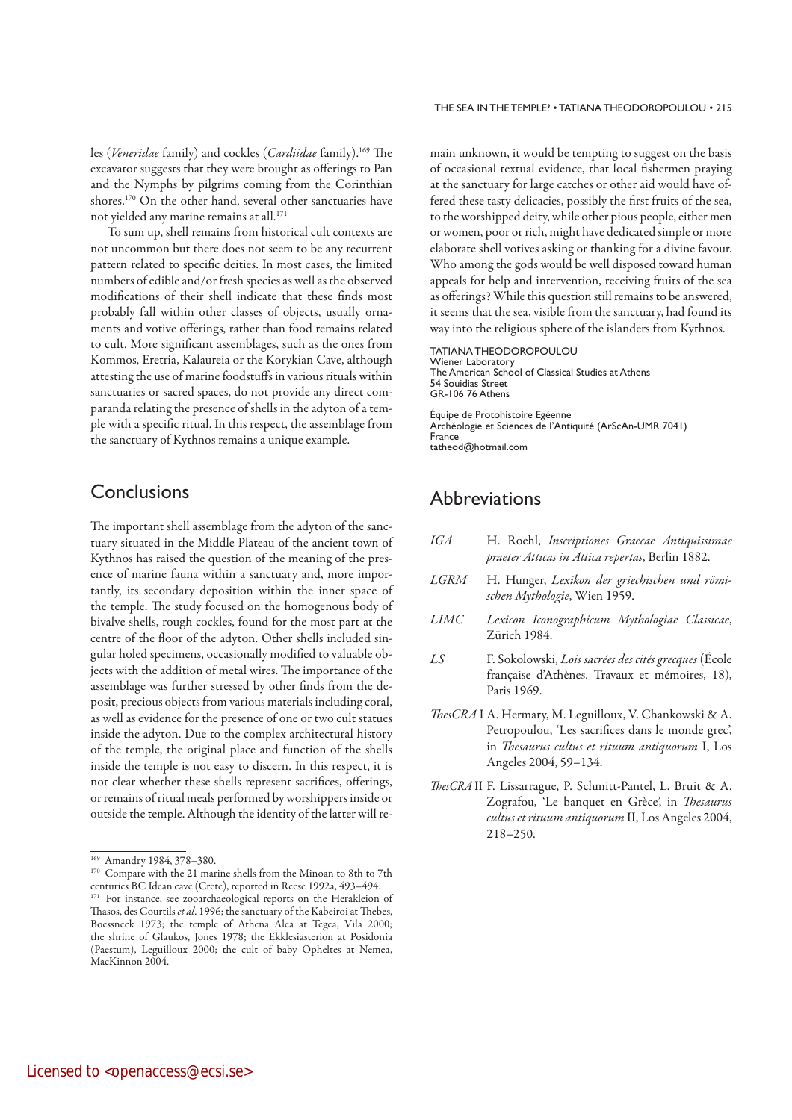THE SEA IN THE TEMPLE? • TATIANA THEODOROPOULOU • 215

les (Veneridae family) and cockles (Cardiidae family).169 The excavator suggests that they were brought as offerings to Pan and the Nymphs by pilgrims coming from the Corinthian shores.170 On the other hand, several other sanctuaries have not vielded any marine remains at all.<sup>171</sup>

To sum up, shell remains from historical cult contexts are not uncommon but there does not seem to be any recurrent pattern related to specific deities. In most cases, the limited numbers of edible and/or fresh species as well as the observed modifications of their shell indicate that these finds most probably fall within other classes of objects, usually ornaments and votive offerings, rather than food remains related to cult. More significant assemblages, such as the ones from Kommos, Eretria, Kalaureia or the Korykian Cave, although attesting the use of marine foodstuffs in various rituals within sanctuaries or sacred spaces, do not provide any direct comparanda relating the presence of shells in the adyton of a temple with a specific ritual. In this respect, the assemblage from the sanctuary of Kythnos remains a unique example.

### **Conclusions**

The important shell assemblage from the adyton of the sanctuary situated in the Middle Plateau of the ancient town of Kythnos has raised the question of the meaning of the presence of marine fauna within a sanctuary and, more importantly, its secondary deposition within the inner space of the temple. The study focused on the homogenous body of bivalve shells, rough cockles, found for the most part at the centre of the floor of the adyton. Other shells included singular holed specimens, occasionally modified to valuable objects with the addition of metal wires. The importance of the assemblage was further stressed by other finds from the deposit, precious objects from various materials including coral, as well as evidence for the presence of one or two cult statues inside the adyton. Due to the complex architectural history of the temple, the original place and function of the shells inside the temple is not easy to discern. In this respect, it is not clear whether these shells represent sacrifices, offerings, or remains of ritual meals performed by worshippers inside or outside the temple. Although the identity of the latter will remain unknown, it would be tempting to suggest on the basis of occasional textual evidence, that local fishermen praying at the sanctuary for large catches or other aid would have offered these tasty delicacies, possibly the first fruits of the sea, to the worshipped deity, while other pious people, either men or women, poor or rich, might have dedicated simple or more elaborate shell votives asking or thanking for a divine favour. Who among the gods would be well disposed toward human appeals for help and intervention, receiving fruits of the sea as offerings? While this question still remains to be answered, it seems that the sea, visible from the sanctuary, had found its way into the religious sphere of the islanders from Kythnos.

TATIANA THEODOROPOULOU Wiener Laboratory The American School of Classical Studies at Athens 54 Souidias Street GR-106 76 Athens

Équipe de Protohistoire Egéenne Archéologie et Sciences de l'Antiquité (ArScAn-UMR 7041) France tatheod@hotmail.com

### Abbreviations

- IGA H. Roehl, Inscriptiones Graecae Antiquissimae praeter Atticas in Attica repertas, Berlin 1882.
- LGRM H. Hunger, Lexikon der griechischen und römischen Mythologie, Wien 1959.
- LIMC Lexicon Iconographicum Mythologiae Classicae, Zürich 1984.
- LS F. Sokolowski, Lois sacrées des cités grecques (École française d'Athènes. Travaux et mémoires, 18), Paris 1969.
- ThesCRA I A. Hermary, M. Leguilloux, V. Chankowski & A. Petropoulou, 'Les sacrifices dans le monde grec', in Thesaurus cultus et rituum antiquorum I, Los Angeles 2004, 59–134.
- ThesCRA II F. Lissarrague, P. Schmitt-Pantel, L. Bruit & A. Zografou, 'Le banquet en Grèce', in Thesaurus cultus et rituum antiquorum II, Los Angeles 2004, 218–250.

<sup>169</sup> Amandry 1984, 378–380.

<sup>&</sup>lt;sup>170</sup> Compare with the 21 marine shells from the Minoan to 8th to 7th centuries BC Idean cave (Crete), reported in Reese 1992a, 493–494. <sup>171</sup> For instance, see zooarchaeological reports on the Herakleion of Thasos, des Courtils et al. 1996; the sanctuary of the Kabeiroi at Thebes, Boessneck 1973; the temple of Athena Alea at Tegea, Vila 2000; the shrine of Glaukos, Jones 1978; the Ekklesiasterion at Posidonia (Paestum), Leguilloux 2000; the cult of baby Opheltes at Nemea, MacKinnon 2004.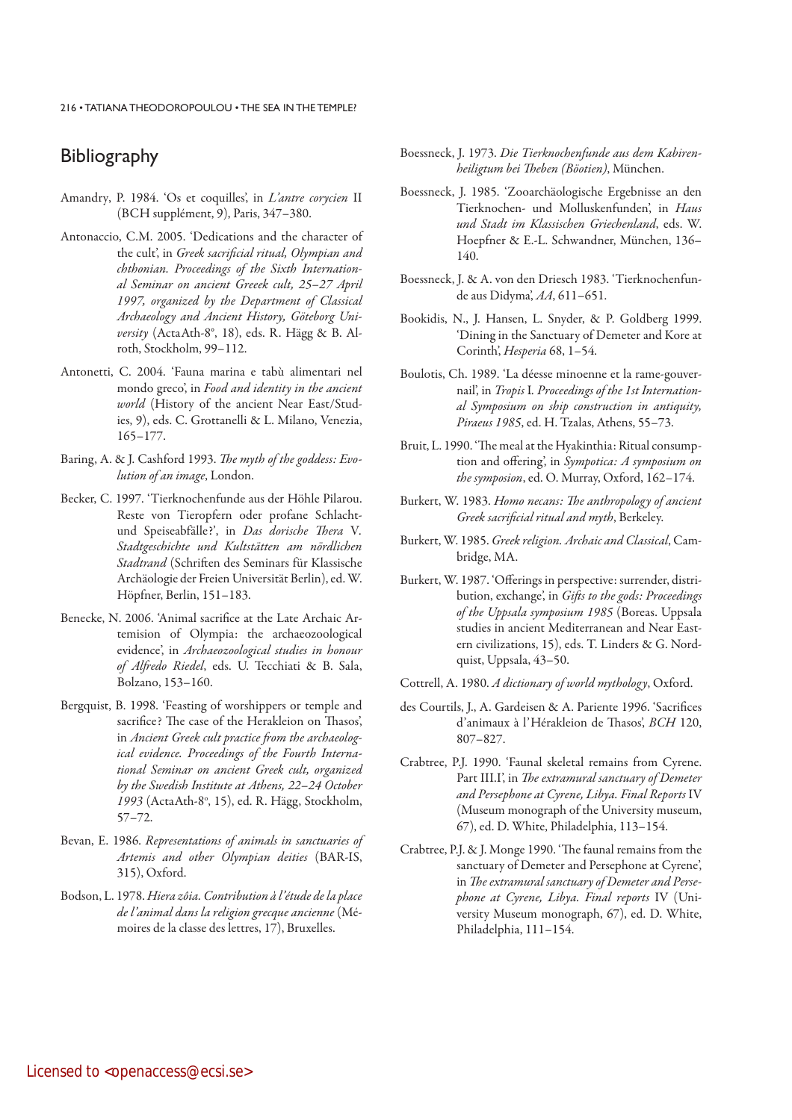# **Bibliography**

- Amandry, P. 1984. 'Os et coquilles', in L'antre corycien II (BCH supplément, 9), Paris, 347–380.
- Antonaccio, C.M. 2005. 'Dedications and the character of the cult', in Greek sacrificial ritual, Olympian and chthonian. Proceedings of the Sixth International Seminar on ancient Greeek cult, 25–27 April 1997, organized by the Department of Classical Archaeology and Ancient History, Göteborg University (ActaAth-8°, 18), eds. R. Hägg & B. Alroth, Stockholm, 99–112.
- Antonetti, C. 2004. 'Fauna marina e tabù alimentari nel mondo greco', in Food and identity in the ancient world (History of the ancient Near East/Studies, 9), eds. C. Grottanelli & L. Milano, Venezia, 165–177.
- Baring, A. & J. Cashford 1993. The myth of the goddess: Evolution of an image, London.
- Becker, C. 1997. 'Tierknochenfunde aus der Höhle Pilarou. Reste von Tieropfern oder profane Schlachtund Speiseabfälle?', in Das dorische Thera V. Stadtgeschichte und Kultstätten am nördlichen Stadtrand (Schriften des Seminars für Klassische Archäologie der Freien Universität Berlin), ed. W. Höpfner, Berlin, 151–183.
- Benecke, N. 2006. 'Animal sacrifice at the Late Archaic Artemision of Olympia: the archaeozoological evidence', in Archaeozoological studies in honour of Alfredo Riedel, eds. U. Tecchiati & B. Sala, Bolzano, 153–160.
- Bergquist, B. 1998. 'Feasting of worshippers or temple and sacrifice? The case of the Herakleion on Thasos', in Ancient Greek cult practice from the archaeological evidence. Proceedings of the Fourth International Seminar on ancient Greek cult, organized by the Swedish Institute at Athens, 22–24 October 1993 (ActaAth-8°, 15), ed. R. Hägg, Stockholm, 57–72.
- Bevan, E. 1986. Representations of animals in sanctuaries of Artemis and other Olympian deities (BAR-IS, 315), Oxford.
- Bodson, L. 1978. Hiera zôia. Contribution à l'étude de la place de l'animal dans la religion grecque ancienne (Mémoires de la classe des lettres, 17), Bruxelles.
- Boessneck, J. 1973. Die Tierknochenfunde aus dem Kabirenheiligtum bei Theben (Böotien), München.
- Boessneck, J. 1985. 'Zooarchäologische Ergebnisse an den Tierknochen- und Molluskenfunden', in Haus und Stadt im Klassischen Griechenland, eds. W. Hoepfner & E.-L. Schwandner, München, 136– 140.
- Boessneck, J. & A. von den Driesch 1983. 'Tierknochenfunde aus Didyma', AA, 611–651.
- Bookidis, N., J. Hansen, L. Snyder, & P. Goldberg 1999. 'Dining in the Sanctuary of Demeter and Kore at Corinth', Hesperia 68, 1–54.
- Boulotis, Ch. 1989. 'La déesse minoenne et la rame-gouvernail', in Tropis I. Proceedings of the 1st International Symposium on ship construction in antiquity, Piraeus 1985, ed. H. Tzalas, Athens, 55–73.
- Bruit, L. 1990. 'The meal at the Hyakinthia: Ritual consumption and offering', in Sympotica: A symposium on the symposion, ed. O. Murray, Oxford, 162–174.
- Burkert, W. 1983. Homo necans: The anthropology of ancient Greek sacrificial ritual and myth, Berkeley.
- Burkert, W. 1985. Greek religion. Archaic and Classical, Cambridge, MA.
- Burkert, W. 1987. 'Offerings in perspective: surrender, distribution, exchange', in Gifts to the gods: Proceedings of the Uppsala symposium 1985 (Boreas. Uppsala studies in ancient Mediterranean and Near Eastern civilizations, 15), eds. T. Linders & G. Nordquist, Uppsala, 43–50.
- Cottrell, A. 1980. A dictionary of world mythology, Oxford.
- des Courtils, J., A. Gardeisen & A. Pariente 1996. 'Sacrifices d'animaux à l'Hérakleion de Thasos', BCH 120, 807–827.
- Crabtree, P.J. 1990. 'Faunal skeletal remains from Cyrene. Part III.I', in The extramural sanctuary of Demeter and Persephone at Cyrene, Libya. Final Reports IV (Museum monograph of the University museum, 67), ed. D. White, Philadelphia, 113–154.
- Crabtree, P.J. & J. Monge 1990. 'The faunal remains from the sanctuary of Demeter and Persephone at Cyrene', in The extramural sanctuary of Demeter and Persephone at Cyrene, Libya. Final reports IV (University Museum monograph, 67), ed. D. White, Philadelphia, 111–154.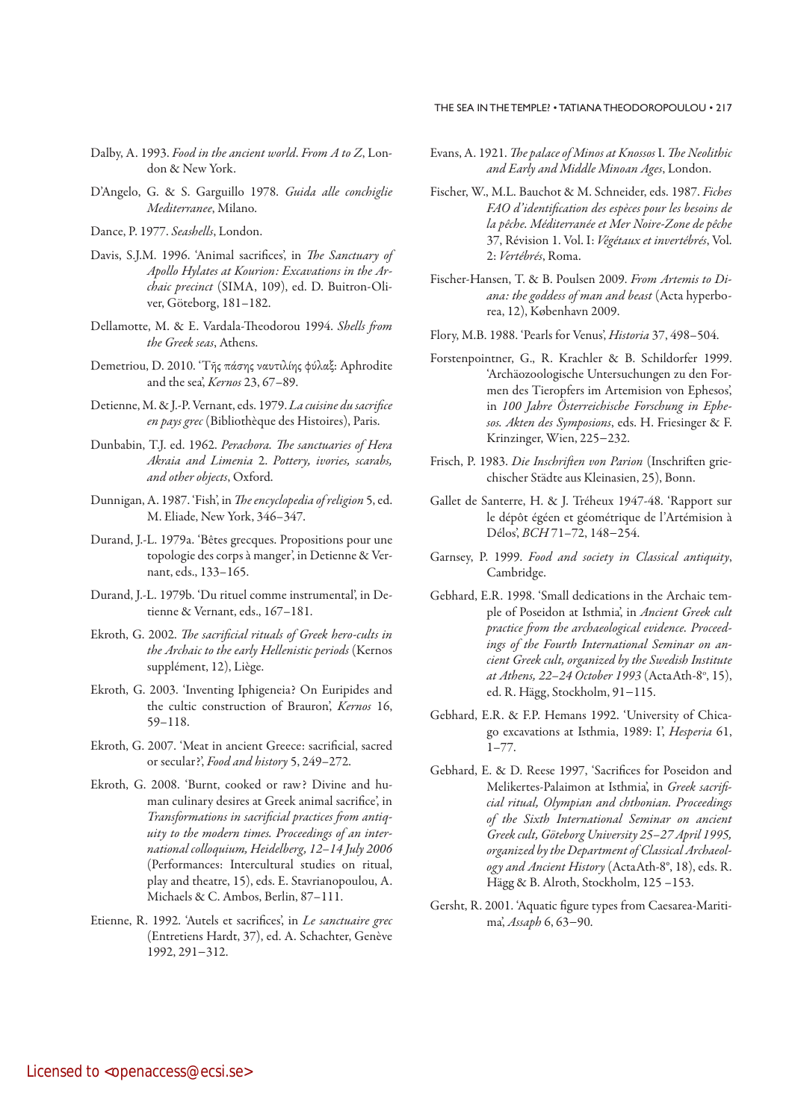### THE SEA IN THE TEMPLE? • TATIANA THEODOROPOULOU • 217

- Dalby, A. 1993. Food in the ancient world. From A to Z, London & New York.
- D'Angelo, G. & S. Garguillo 1978. Guida alle conchiglie Mediterranee, Milano.
- Dance, P. 1977. Seashells, London.
- Davis, S.J.M. 1996. 'Animal sacrifices', in The Sanctuary of Apollo Hylates at Kourion: Excavations in the Archaic precinct (SIMA, 109), ed. D. Buitron-Oliver, Göteborg, 181–182.
- Dellamotte, M. & E. Vardala-Theodorou 1994. Shells from the Greek seas, Athens.
- Demetriou, D. 2010. 'Tῆς πάσης ναυτιλίης φύλαξ: Aphrodite and the sea', Kernos 23, 67–89.
- Detienne, M. & J.-P. Vernant, eds. 1979. La cuisine du sacrifice en pays grec (Bibliothèque des Histoires), Paris.
- Dunbabin, T.J. ed. 1962. Perachora. The sanctuaries of Hera Akraia and Limenia 2. Pottery, ivories, scarabs, and other objects, Oxford.
- Dunnigan, A. 1987. 'Fish', in The encyclopedia of religion 5, ed. M. Eliade, New York, 346–347.
- Durand, J.-L. 1979a. 'Bêtes grecques. Propositions pour une topologie des corps à manger', in Detienne & Vernant, eds., 133–165.
- Durand, J.-L. 1979b. 'Du rituel comme instrumental', in Detienne & Vernant, eds., 167–181.
- Ekroth, G. 2002. The sacrificial rituals of Greek hero-cults in the Archaic to the early Hellenistic periods (Kernos supplément, 12), Liège.
- Ekroth, G. 2003. 'Inventing Iphigeneia? On Euripides and the cultic construction of Brauron', Kernos 16, 59–118.
- Ekroth, G. 2007. 'Meat in ancient Greece: sacrificial, sacred or secular?', Food and history 5, 249–272.
- Ekroth, G. 2008. 'Burnt, cooked or raw? Divine and human culinary desires at Greek animal sacrifice', in Transformations in sacrificial practices from antiquity to the modern times. Proceedings of an international colloquium, Heidelberg, 12–14 July 2006 (Performances: Intercultural studies on ritual, play and theatre, 15), eds. E. Stavrianopoulou, A. Michaels & C. Ambos, Berlin, 87–111.
- Etienne, R. 1992. 'Autels et sacrifices', in Le sanctuaire grec (Entretiens Hardt, 37), ed. A. Schachter, Genève 1992, 291−312.
- Evans, A. 1921. The palace of Minos at Knossos I. The Neolithic and Early and Middle Minoan Ages, London.
- Fischer, W., M.L. Bauchot & M. Schneider, eds. 1987. Fiches FAO d'identification des espèces pour les besoins de la pêche. Méditerranée et Mer Noire-Zone de pêche 37, Révision 1. Vol. I: Végétaux et invertébrés, Vol. 2: Vertébrés, Roma.
- Fischer-Hansen, T. & B. Poulsen 2009. From Artemis to Diana: the goddess of man and beast (Acta hyperborea, 12), København 2009.
- Flory, M.B. 1988. 'Pearls for Venus', Historia 37, 498–504.
- Forstenpointner, G., R. Krachler & B. Schildorfer 1999. 'Archäozoologische Untersuchungen zu den Formen des Tieropfers im Artemision von Ephesos', in 100 Jahre Österreichische Forschung in Ephesos. Akten des Symposions, eds. H. Friesinger & F. Krinzinger, Wien, 225−232.
- Frisch, P. 1983. Die Inschriften von Parion (Inschriften griechischer Städte aus Kleinasien, 25), Bonn.
- Gallet de Santerre, H. & J. Tréheux 1947-48. 'Rapport sur le dépôt égéen et géométrique de l'Artémision à Délos', BCH 71–72, 148−254.
- Garnsey, P. 1999. Food and society in Classical antiquity, Cambridge.
- Gebhard, E.R. 1998. 'Small dedications in the Archaic temple of Poseidon at Isthmia', in Ancient Greek cult practice from the archaeological evidence. Proceedings of the Fourth International Seminar on ancient Greek cult, organized by the Swedish Institute at Athens, 22–24 October 1993 (ActaAth-8°, 15), ed. R. Hägg, Stockholm, 91−115.
- Gebhard, E.R. & F.P. Hemans 1992. 'University of Chicago excavations at Isthmia, 1989: I', Hesperia 61,  $1 - 77$ .
- Gebhard, E. & D. Reese 1997, 'Sacrifices for Poseidon and Melikertes-Palaimon at Isthmia', in Greek sacrificial ritual, Olympian and chthonian. Proceedings of the Sixth International Seminar on ancient Greek cult, Göteborg University 25–27 April 1995, organized by the Department of Classical Archaeology and Ancient History (ActaAth-8°, 18), eds. R. Hägg & B. Alroth, Stockholm, 125 –153.
- Gersht, R. 2001. 'Aquatic figure types from Caesarea-Maritima', Assaph 6, 63−90.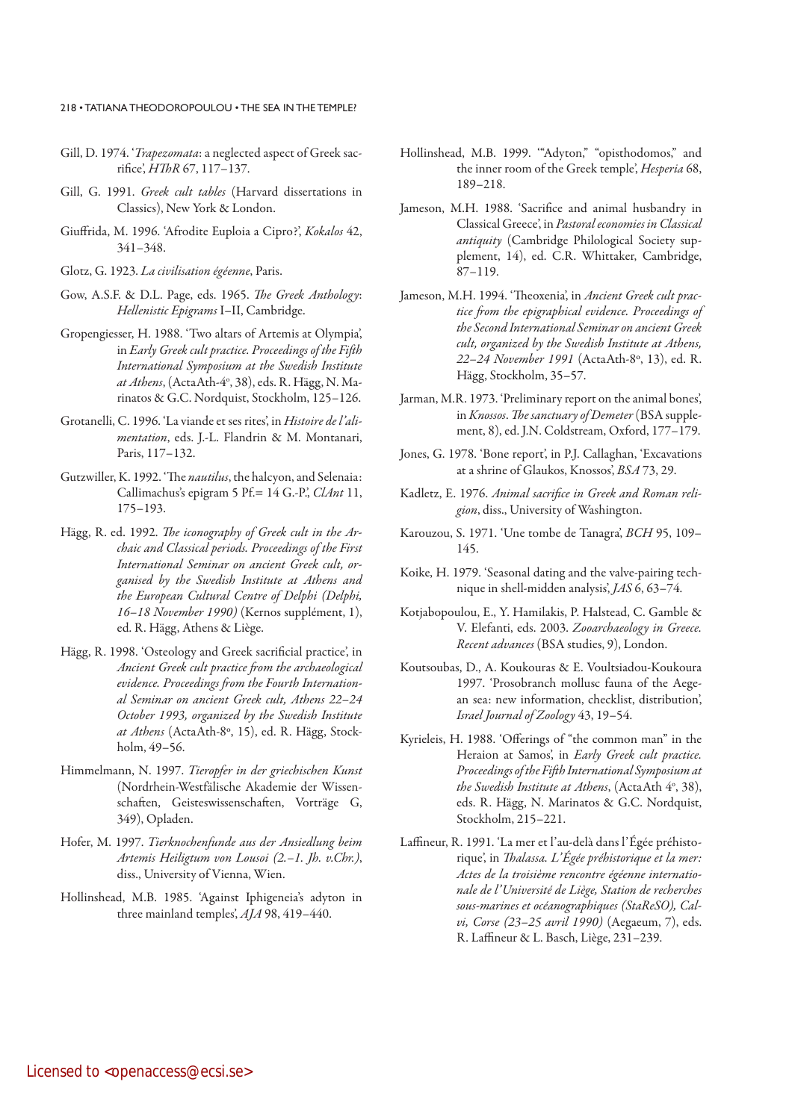- Gill, D. 1974. 'Trapezomata: a neglected aspect of Greek sacrifice', HThR 67, 117–137.
- Gill, G. 1991. Greek cult tables (Harvard dissertations in Classics), New York & London.
- Giuffrida, M. 1996. 'Afrodite Euploia a Cipro?', Kokalos 42, 341–348.
- Glotz, G. 1923. La civilisation égéenne, Paris.
- Gow, A.S.F. & D.L. Page, eds. 1965. The Greek Anthology: Hellenistic Epigrams I–II, Cambridge.
- Gropengiesser, H. 1988. 'Two altars of Artemis at Olympia', in Early Greek cult practice. Proceedings of the Fifth International Symposium at the Swedish Institute *at Athens*, (ActaAth-4°, 38), eds. R. Hägg, N. Marinatos & G.C. Nordquist, Stockholm, 125–126.
- Grotanelli, C. 1996. 'La viande et ses rites', in Histoire de l'alimentation, eds. J.-L. Flandrin & M. Montanari, Paris, 117–132.
- Gutzwiller, K. 1992. 'The nautilus, the halcyon, and Selenaia: Callimachus's epigram 5 Pf. =  $14$  G.-P., ClAnt 11, 175–193.
- Hägg, R. ed. 1992. The iconography of Greek cult in the Archaic and Classical periods. Proceedings of the First International Seminar on ancient Greek cult, organised by the Swedish Institute at Athens and the European Cultural Centre of Delphi (Delphi, 16–18 November 1990) (Kernos supplément, 1), ed. R. Hägg, Athens & Liège.
- Hägg, R. 1998. 'Osteology and Greek sacrificial practice', in Ancient Greek cult practice from the archaeological evidence. Proceedings from the Fourth International Seminar on ancient Greek cult, Athens 22–24 October 1993, organized by the Swedish Institute at Athens (ActaAth-8º, 15), ed. R. Hägg, Stockholm, 49–56.
- Himmelmann, N. 1997. Tieropfer in der griechischen Kunst (Nordrhein-Westfälische Akademie der Wissenschaften, Geisteswissenschaften, Vorträge G, 349), Opladen.
- Hofer, M. 1997. Tierknochenfunde aus der Ansiedlung beim Artemis Heiligtum von Lousoi (2.–1. Jh. v.Chr.), diss., University of Vienna, Wien.
- Hollinshead, M.B. 1985. 'Against Iphigeneia's adyton in three mainland temples', AJA 98, 419-440.
- Hollinshead, M.B. 1999. '"Adyton," "opisthodomos," and the inner room of the Greek temple', Hesperia 68, 189–218.
- Jameson, M.H. 1988. 'Sacrifice and animal husbandry in Classical Greece', in Pastoral economies in Classical antiquity (Cambridge Philological Society supplement, 14), ed. C.R. Whittaker, Cambridge, 87–119.
- Jameson, M.H. 1994. 'Theoxenia', in Ancient Greek cult practice from the epigraphical evidence. Proceedings of the Second International Seminar on ancient Greek cult, organized by the Swedish Institute at Athens, 22–24 November 1991 (ActaAth-8º, 13), ed. R. Hägg, Stockholm, 35–57.
- Jarman, M.R. 1973. 'Preliminary report on the animal bones', in Knossos. The sanctuary of Demeter (BSA supplement, 8), ed. J.N. Coldstream, Oxford, 177–179.
- Jones, G. 1978. 'Bone report', in P.J. Callaghan, 'Excavations at a shrine of Glaukos, Knossos', BSA 73, 29.
- Kadletz, E. 1976. Animal sacrifice in Greek and Roman religion, diss., University of Washington.
- Karouzou, S. 1971. 'Une tombe de Tanagra', BCH 95, 109– 145.
- Koike, H. 1979. 'Seasonal dating and the valve-pairing technique in shell-midden analysis', JAS 6, 63–74.
- Kotjabopoulou, E., Y. Hamilakis, P. Halstead, C. Gamble & V. Elefanti, eds. 2003. Zooarchaeology in Greece. Recent advances (BSA studies, 9), London.
- Koutsoubas, D., A. Koukouras & E. Voultsiadou-Koukoura 1997. 'Prosobranch mollusc fauna of the Aegean sea: new information, checklist, distribution', Israel Journal of Zoology 43, 19–54.
- Kyrieleis, H. 1988. 'Offerings of "the common man" in the Heraion at Samos', in Early Greek cult practice. Proceedings of the Fifth International Symposium at the Swedish Institute at Athens, (ActaAth 4°, 38), eds. R. Hägg, N. Marinatos & G.C. Nordquist, Stockholm, 215–221.
- Laffineur, R. 1991. 'La mer et l'au-delà dans l'Égée préhistorique', in Thalassa. L'Égée préhistorique et la mer: Actes de la troisième rencontre égéenne internationale de l'Université de Liège, Station de recherches sous-marines et océanographiques (StaReSO), Calvi, Corse (23-25 avril 1990) (Aegaeum, 7), eds. R. Laffineur & L. Basch, Liège, 231–239.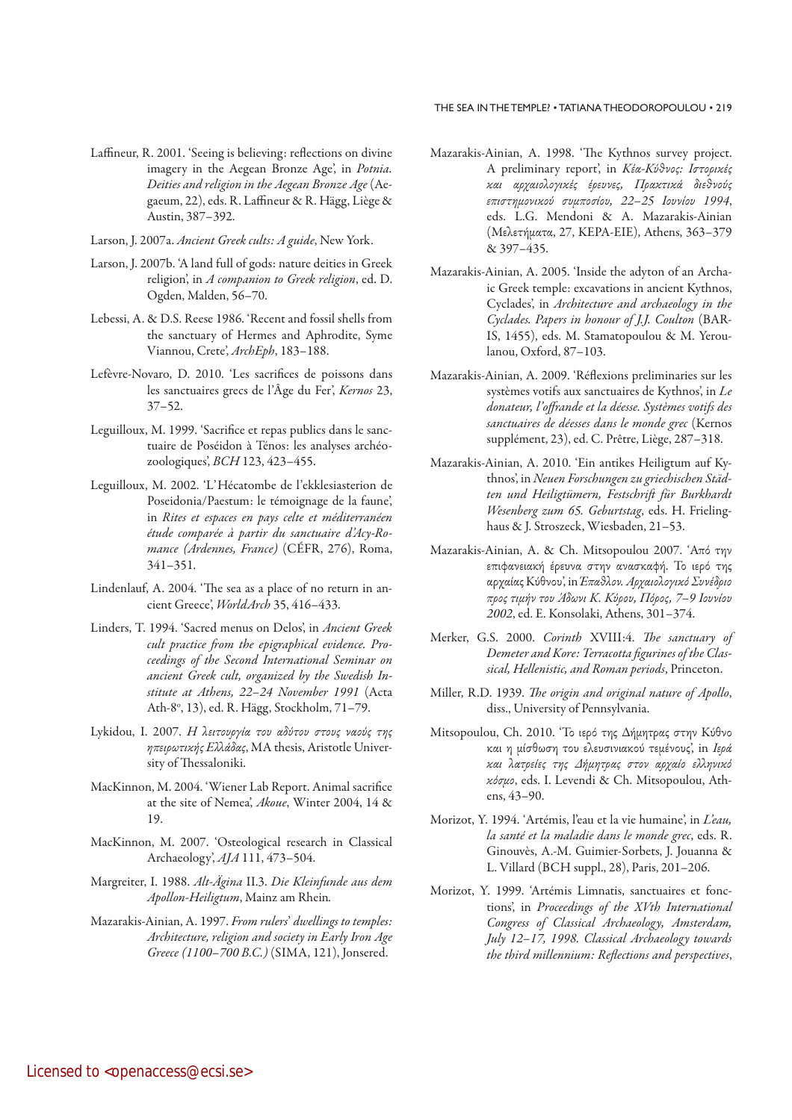### THE SEA IN THE TEMPLE? • TATIANA THEODOROPOULOU • 219

- Laffineur, R. 2001. 'Seeing is believing: reflections on divine imagery in the Aegean Bronze Age', in Potnia. Deities and religion in the Aegean Bronze Age (Aegaeum, 22), eds. R. Laffineur & R. Hägg, Liège & Austin, 387–392.
- Larson, J. 2007a. Ancient Greek cults: A guide, New York.
- Larson, J. 2007b. 'A land full of gods: nature deities in Greek religion', in A companion to Greek religion, ed. D. Ogden, Malden, 56–70.
- Lebessi, A. & D.S. Reese 1986. 'Recent and fossil shells from the sanctuary of Hermes and Aphrodite, Syme Viannou, Crete', ArchEph, 183–188.
- Lefèvre-Novaro, D. 2010. 'Les sacrifices de poissons dans les sanctuaires grecs de l'Âge du Fer', Kernos 23, 37–52.
- Leguilloux, M. 1999. 'Sacrifice et repas publics dans le sanctuaire de Poséidon à Ténos: les analyses archéozoologiques', BCH 123, 423–455.
- Leguilloux, M. 2002. 'L'Hécatombe de l'ekklesiasterion de Poseidonia/Paestum: le témoignage de la faune', in Rites et espaces en pays celte et méditerranéen étude comparée à partir du sanctuaire d'Acy-Romance (Ardennes, France) (CÉFR, 276), Roma, 341–351.
- Lindenlauf, A. 2004. 'The sea as a place of no return in ancient Greece', WorldArch 35, 416–433.
- Linders, T. 1994. 'Sacred menus on Delos', in Ancient Greek cult practice from the epigraphical evidence. Proceedings of the Second International Seminar on ancient Greek cult, organized by the Swedish Institute at Athens, 22–24 November 1991 (Acta Ath-8°, 13), ed. R. Hägg, Stockholm, 71–79.
- Lykidou, I. 2007. Η λειτουργία του αδύτου στους ναούς της ηπειρωτικής Ελλάδας, MA thesis, Aristotle University of Thessaloniki.
- MacKinnon, M. 2004. 'Wiener Lab Report. Animal sacrifice at the site of Nemea', Akoue, Winter 2004, 14 & 19.
- MacKinnon, M. 2007. 'Osteological research in Classical Archaeology', AJA 111, 473–504.
- Margreiter, I. 1988. Alt-Ägina II.3. Die Kleinfunde aus dem Apollon-Heiligtum, Mainz am Rhein.
- Mazarakis-Ainian, A. 1997. From rulers' dwellings to temples: Architecture, religion and society in Early Iron Age Greece (1100–700 B.C.) (SIMA, 121), Jonsered.
- Mazarakis-Ainian, A. 1998. 'The Kythnos survey project. A preliminary report', in Κέα-Κύθνος: Ιστορικές και αρχαιολογικές έρευνες, Πρακτικά διεθνούς επιστημονικού συμποσίου, 22–25 Ιουνίου 1994, eds. L.G. Mendoni & Α. Mazarakis-Ainian (Μελετήματα, 27, KΕΡΑ-ΕΙΕ), Athens, 363–379 & 397–435.
- Mazarakis-Ainian, A. 2005. 'Inside the adyton of an Archaic Greek temple: excavations in ancient Kythnos, Cyclades', in Architecture and archaeology in the Cyclades. Papers in honour of J.J. Coulton (BAR-IS, 1455), eds. M. Stamatopoulou & M. Yeroulanou, Oxford, 87–103.
- Mazarakis-Ainian, A. 2009. 'Réflexions preliminaries sur les systèmes votifs aux sanctuaires de Kythnos', in Le donateur, l'offrande et la déesse. Systèmes votifs des sanctuaires de déesses dans le monde grec (Kernos supplément, 23), ed. C. Prêtre, Liège, 287–318.
- Mazarakis-Ainian, A. 2010. 'Ein antikes Heiligtum auf Kythnos', in Neuen Forschungen zu griechischen Städten und Heiligtümern, Festschrift für Burkhardt Wesenberg zum 65. Geburtstag, eds. H. Frielinghaus & J. Stroszeck, Wiesbaden, 21–53.
- Mazarakis-Ainian, A. & Ch. Mitsopoulou 2007. 'Από την επιφανειακή έρευνα στην ανασκαφή. Το ιερό της αρχαίας Κύθνου', in Έπαθλον. Αρχαιολογικό Συνέδριο προς τιμήν του Άδωνι Κ. Κύρου, Πόρος, 7–9 Ιουνίου 2002, ed. Ε. Konsolaki, Athens, 301–374.
- Merker, G.S. 2000. Corinth XVIII:4. The sanctuary of Demeter and Kore: Terracotta figurines of the Classical, Hellenistic, and Roman periods, Princeton.
- Miller, R.D. 1939. The origin and original nature of Apollo, diss., University of Pennsylvania.
- Mitsopoulou, Ch. 2010. 'Το ιερό της Δήμητρας στην Κύθνο και η μίσθωση του ελευσινιακού τεμένους', in Ιερά και λατρείες της Δήμητρας στον αρχαίο ελληνικό κόσμο, eds. Ι. Levendi & Ch. Mitsopoulou, Athens, 43–90.
- Morizot, Y. 1994. 'Artémis, l'eau et la vie humaine', in L'eau, la santé et la maladie dans le monde grec, eds. R. Ginouvès, A.-M. Guimier-Sorbets, J. Jouanna & L. Villard (BCH suppl., 28), Paris, 201–206.
- Morizot, Y. 1999. 'Artémis Limnatis, sanctuaires et fonctions', in Proceedings of the XVth International Congress of Classical Archaeology, Amsterdam, July 12–17, 1998. Classical Archaeology towards the third millennium: Reflections and perspectives,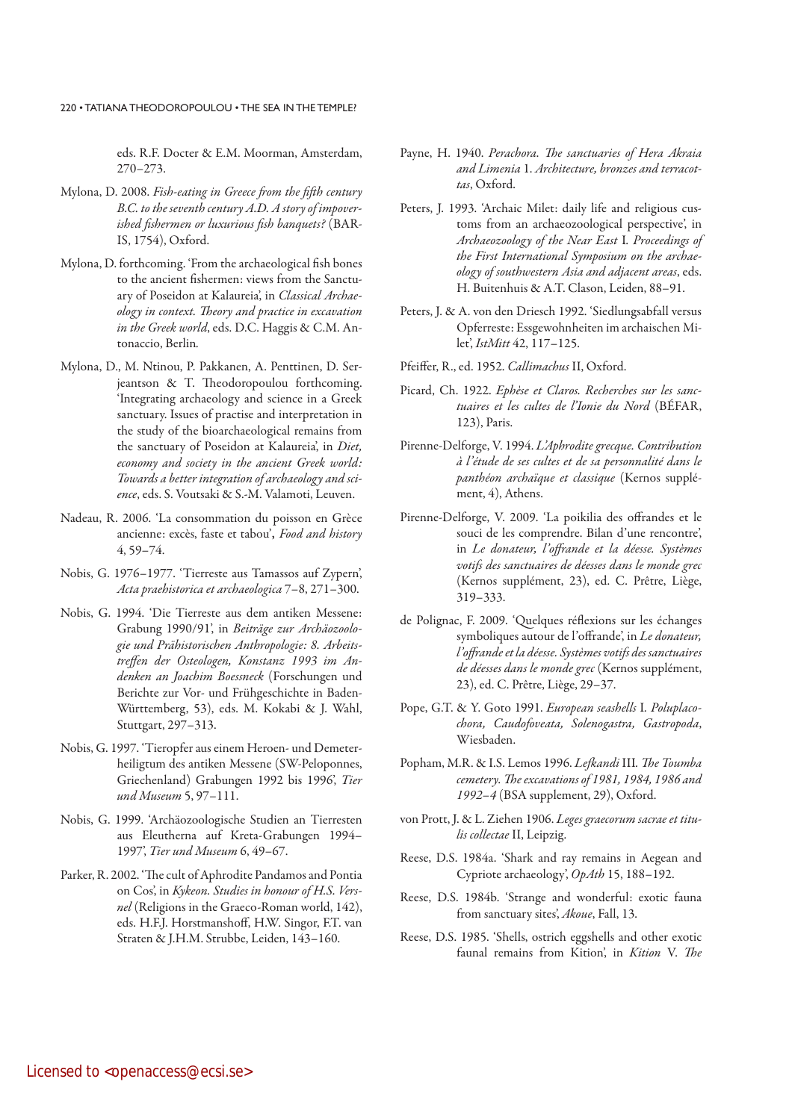eds. R.F. Docter & E.M. Moorman, Amsterdam, 270–273.

- Mylona, D. 2008. Fish-eating in Greece from the fifth century B.C. to the seventh century A.D. A story of impoverished fishermen or luxurious fish banquets? (BAR-IS, 1754), Oxford.
- Mylona, D. forthcoming. 'From the archaeological fish bones to the ancient fishermen: views from the Sanctuary of Poseidon at Kalaureia', in Classical Archaeology in context. Theory and practice in excavation in the Greek world, eds. D.C. Haggis & C.M. Antonaccio, Berlin.
- Mylona, D., M. Ntinou, P. Pakkanen, A. Penttinen, D. Serjeantson & T. Theodoropoulou forthcoming. 'Integrating archaeology and science in a Greek sanctuary. Issues of practise and interpretation in the study of the bioarchaeological remains from the sanctuary of Poseidon at Kalaureia', in Diet, economy and society in the ancient Greek world: Towards a better integration of archaeology and science, eds. S. Voutsaki & S.-M. Valamoti, Leuven.
- Nadeau, R. 2006. 'La consommation du poisson en Grèce ancienne: excès, faste et tabou', Food and history 4, 59–74.
- Nobis, G. 1976–1977. 'Tierreste aus Tamassos auf Zypern', Acta praehistorica et archaeologica 7–8, 271–300.
- Nobis, G. 1994. 'Die Tierreste aus dem antiken Messene: Grabung 1990/91', in Beiträge zur Archäozoologie und Prähistorischen Anthropologie: 8. Arbeitstreffen der Osteologen, Konstanz 1993 im Andenken an Joachim Boessneck (Forschungen und Berichte zur Vor- und Frühgeschichte in Baden-Württemberg, 53), eds. M. Kokabi & J. Wahl, Stuttgart, 297–313.
- Nobis, G. 1997. 'Tieropfer aus einem Heroen- und Demeterheiligtum des antiken Messene (SW-Peloponnes, Griechenland) Grabungen 1992 bis 1996', Tier und Museum 5, 97–111.
- Nobis, G. 1999. 'Archäozoologische Studien an Tierresten aus Eleutherna auf Kreta-Grabungen 1994– 1997', Tier und Museum 6, 49–67.
- Parker, R. 2002. 'The cult of Aphrodite Pandamos and Pontia on Cos', in Kykeon. Studies in honour of H.S. Versnel (Religions in the Graeco-Roman world, 142), eds. H.F.J. Horstmanshoff, H.W. Singor, F.T. van Straten & J.H.M. Strubbe, Leiden, 143–160.
- Payne, H. 1940. Perachora. The sanctuaries of Hera Akraia and Limenia 1. Architecture, bronzes and terracottas, Oxford.
- Peters, J. 1993. 'Archaic Milet: daily life and religious customs from an archaeozoological perspective', in Archaeozoology of the Near East I. Proceedings of the First International Symposium on the archaeology of southwestern Asia and adjacent areas, eds. H. Buitenhuis & A.T. Clason, Leiden, 88-91.
- Peters, J. & A. von den Driesch 1992. 'Siedlungsabfall versus Opferreste: Essgewohnheiten im archaischen Milet', IstMitt 42, 117–125.
- Pfeiffer, R., ed. 1952. Callimachus II, Oxford.
- Picard, Ch. 1922. Ephèse et Claros. Recherches sur les sanctuaires et les cultes de l'Ionie du Nord (BÉFAR, 123), Paris.
- Pirenne-Delforge, V. 1994. L'Aphrodite grecque. Contribution à l'étude de ses cultes et de sa personnalité dans le panthéon archaïque et classique (Kernos supplément, 4), Athens.
- Pirenne-Delforge, V. 2009. 'La poikilia des offrandes et le souci de les comprendre. Bilan d'une rencontre', in Le donateur, l'offrande et la déesse. Systèmes votifs des sanctuaires de déesses dans le monde grec (Kernos supplément, 23), ed. C. Prêtre, Liège, 319–333.
- de Polignac, F. 2009. 'Quelques réflexions sur les échanges symboliques autour de l'offrande', in Le donateur, l'offrande et la déesse. Systèmes votifs des sanctuaires de déesses dans le monde grec (Kernos supplément, 23), ed. C. Prêtre, Liège, 29–37.
- Pope, G.T. & Y. Goto 1991. European seashells I. Poluplacochora, Caudofoveata, Solenogastra, Gastropoda, Wiesbaden.
- Popham, M.R. & I.S. Lemos 1996. Lefkandi III. The Toumba cemetery. The excavations of 1981, 1984, 1986 and 1992–4 (BSA supplement, 29), Oxford.
- von Prott, J. & L. Ziehen 1906. Leges graecorum sacrae et titulis collectae II, Leipzig.
- Reese, D.S. 1984a. 'Shark and ray remains in Aegean and Cypriote archaeology', OpAth 15, 188–192.
- Reese, D.S. 1984b. 'Strange and wonderful: exotic fauna from sanctuary sites', Akoue, Fall, 13.
- Reese, D.S. 1985. 'Shells, ostrich eggshells and other exotic faunal remains from Kition', in Kition V. The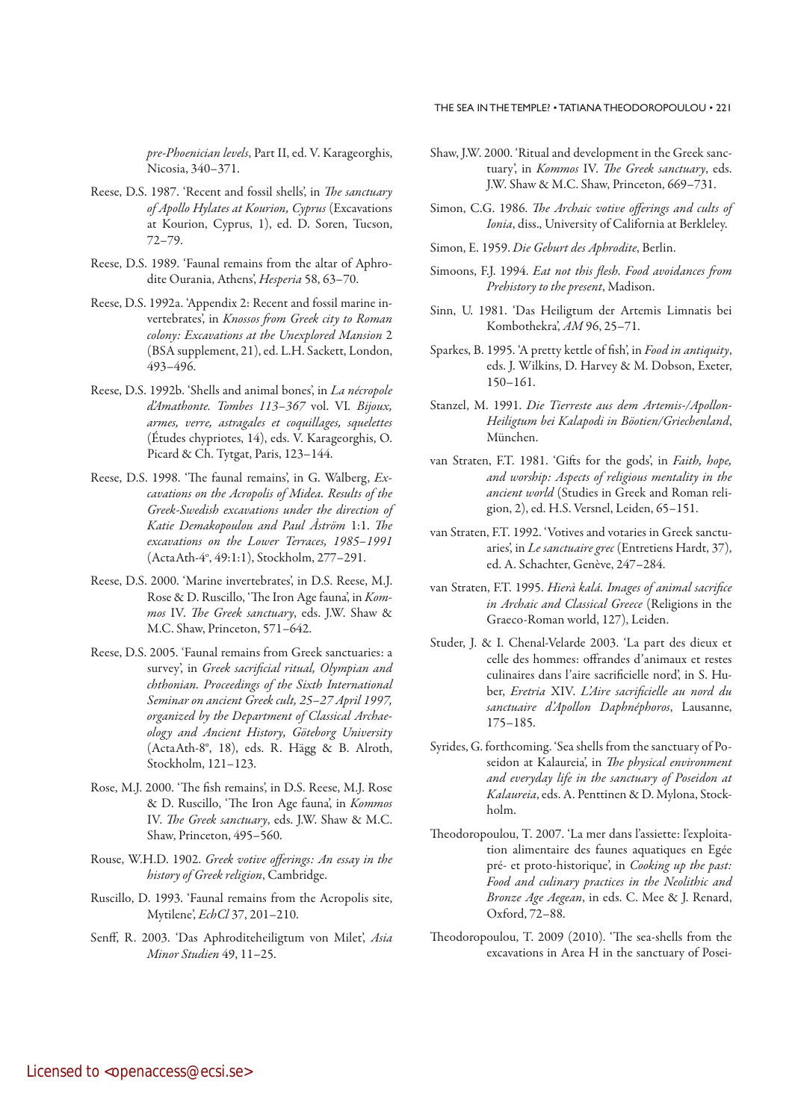pre-Phoenician levels, Part II, ed. V. Karageorghis, Nicosia, 340–371.

- Reese, D.S. 1987. 'Recent and fossil shells', in The sanctuary of Apollo Hylates at Kourion, Cyprus (Excavations at Kourion, Cyprus, 1), ed. D. Soren, Tucson, 72–79.
- Reese, D.S. 1989. 'Faunal remains from the altar of Aphrodite Ourania, Athens', Hesperia 58, 63-70.
- Reese, D.S. 1992a. 'Appendix 2: Recent and fossil marine invertebrates', in Knossos from Greek city to Roman colony: Excavations at the Unexplored Mansion 2 (BSA supplement, 21), ed. L.H. Sackett, London, 493–496.
- Reese, D.S. 1992b. 'Shells and animal bones', in *La nécropole* d'Amathonte. Tombes 113–367 vol. VI. Bijoux, armes, verre, astragales et coquillages, squelettes (Études chypriotes, 14), eds. V. Karageorghis, O. Picard & Ch. Tytgat, Paris, 123–144.
- Reese, D.S. 1998. 'The faunal remains', in G. Walberg, Excavations on the Acropolis of Midea. Results of the Greek-Swedish excavations under the direction of Katie Demakopoulou and Paul Åström 1:1. The excavations on the Lower Terraces, 1985–1991 (ActaAth-4o , 49:1:1), Stockholm, 277–291.
- Reese, D.S. 2000. 'Marine invertebrates', in D.S. Reese, M.J. Rose & D. Ruscillo, 'The Iron Age fauna', in Kommos IV. The Greek sanctuary, eds. J.W. Shaw & M.C. Shaw, Princeton, 571–642.
- Reese, D.S. 2005. 'Faunal remains from Greek sanctuaries: a survey', in Greek sacrificial ritual, Olympian and chthonian. Proceedings of the Sixth International Seminar on ancient Greek cult, 25–27 April 1997, organized by the Department of Classical Archaeology and Ancient History, Göteborg University (ActaAth-8°, 18), eds. R. Hägg & B. Alroth, Stockholm, 121–123.
- Rose, M.J. 2000. 'The fish remains', in D.S. Reese, M.J. Rose & D. Ruscillo, 'The Iron Age fauna', in Kommos IV. The Greek sanctuary, eds. J.W. Shaw & M.C. Shaw, Princeton, 495–560.
- Rouse, W.H.D. 1902. Greek votive offerings: An essay in the history of Greek religion, Cambridge.
- Ruscillo, D. 1993. 'Faunal remains from the Acropolis site, Mytilene', EchCl 37, 201–210.
- Senff, R. 2003. 'Das Aphroditeheiligtum von Milet', Asia Minor Studien 49, 11–25.
- Shaw, J.W. 2000. 'Ritual and development in the Greek sanctuary', in Kommos IV. The Greek sanctuary, eds. J.W. Shaw & M.C. Shaw, Princeton, 669–731.
- Simon, C.G. 1986. The Archaic votive offerings and cults of Ionia, diss., University of California at Berkleley.
- Simon, E. 1959. Die Geburt des Aphrodite, Berlin.
- Simoons, F.J. 1994. Eat not this flesh. Food avoidances from Prehistory to the present, Madison.
- Sinn, U. 1981. 'Das Heiligtum der Artemis Limnatis bei Kombothekra', AM 96, 25–71.
- Sparkes, B. 1995. 'A pretty kettle of fish', in Food in antiquity, eds. J. Wilkins, D. Harvey & M. Dobson, Exeter, 150–161.
- Stanzel, M. 1991. Die Tierreste aus dem Artemis-/Apollon-Heiligtum bei Kalapodi in Böotien/Griechenland, München.
- van Straten, F.T. 1981. 'Gifts for the gods', in Faith, hope, and worship: Aspects of religious mentality in the ancient world (Studies in Greek and Roman religion, 2), ed. H.S. Versnel, Leiden, 65–151.
- van Straten, F.T. 1992. 'Votives and votaries in Greek sanctuaries', in Le sanctuaire grec (Entretiens Hardt, 37), ed. A. Schachter, Genève, 247–284.
- van Straten, F.T. 1995. Hierà kalá. Images of animal sacrifice in Archaic and Classical Greece (Religions in the Graeco-Roman world, 127), Leiden.
- Studer, J. & I. Chenal-Velarde 2003. 'La part des dieux et celle des hommes: offrandes d'animaux et restes culinaires dans l'aire sacrificielle nord', in S. Huber, Eretria XIV. L'Aire sacrificielle au nord du sanctuaire d'Apollon Daphnéphoros, Lausanne, 175–185.
- Syrides, G. forthcoming. 'Sea shells from the sanctuary of Poseidon at Kalaureia', in The physical environment and everyday life in the sanctuary of Poseidon at Kalaureia, eds. A. Penttinen & D. Mylona, Stockholm.
- Theodoropoulou, T. 2007. 'La mer dans l'assiette: l'exploitation alimentaire des faunes aquatiques en Egée pré- et proto-historique', in Cooking up the past: Food and culinary practices in the Neolithic and Bronze Age Aegean, in eds. C. Mee & J. Renard, Oxford, 72–88.
- Theodoropoulou, T. 2009 (2010). 'The sea-shells from the excavations in Area H in the sanctuary of Posei-